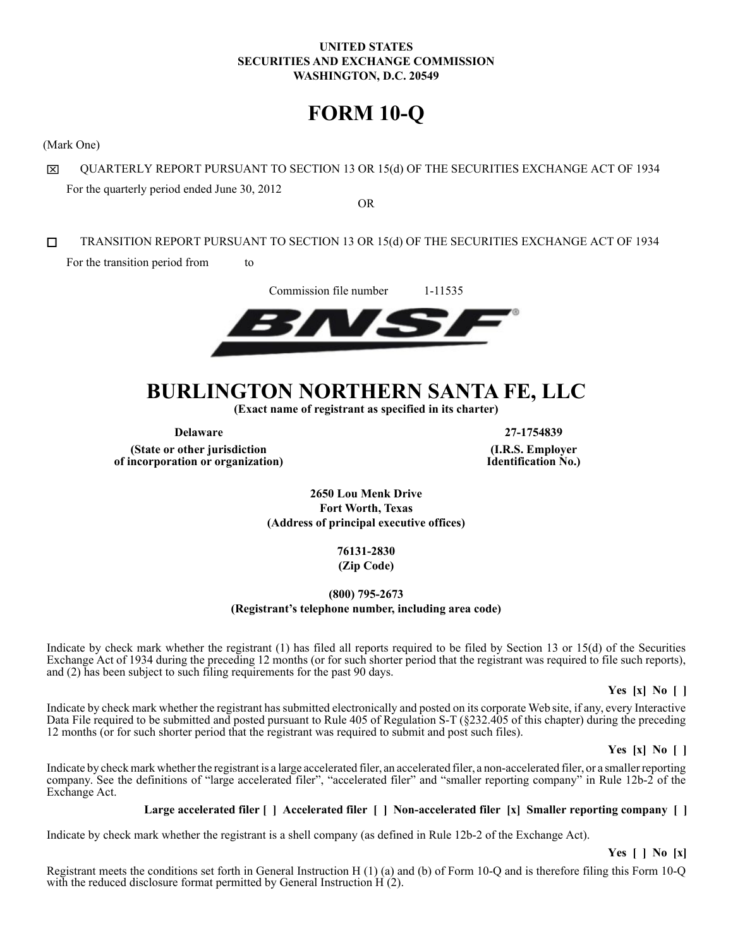## **UNITED STATES SECURITIES AND EXCHANGE COMMISSION WASHINGTON, D.C. 20549**

# **FORM 10-Q**

(Mark One)

QUARTERLY REPORT PURSUANT TO SECTION 13 OR 15(d) OF THE SECURITIES EXCHANGE ACT OF 1934 冈 For the quarterly period ended June 30, 2012

OR

П TRANSITION REPORT PURSUANT TO SECTION 13 OR 15(d) OF THE SECURITIES EXCHANGE ACT OF 1934 For the transition period from to

Commission file number 1-11535

# **BURLINGTON NORTHERN SANTA FE, LLC**

**(Exact name of registrant as specified in its charter)**

**(State or other jurisdiction of incorporation or organization)**

**Delaware 27-1754839 (I.R.S. Employer Identification No.)**

> **2650 Lou Menk Drive Fort Worth, Texas (Address of principal executive offices)**

> > **76131-2830 (Zip Code)**

## **(800) 795-2673 (Registrant's telephone number, including area code)**

Indicate by check mark whether the registrant (1) has filed all reports required to be filed by Section 13 or 15(d) of the Securities Exchange Act of 1934 during the preceding 12 months (or for such shorter period that the registrant was required to file such reports), and (2) has been subject to such filing requirements for the past 90 days.

**Yes [x] No [ ]**

Indicate by check mark whether the registrant has submitted electronically and posted on its corporate Web site, if any, every Interactive Data File required to be submitted and posted pursuant to Rule 405 of Regulation S-T (§232.405 of this chapter) during the preceding 12 months (or for such shorter period that the registrant was required to submit and post such files).

**Yes [x] No [ ]**

Indicate by check mark whether the registrant is a large accelerated filer, an accelerated filer, a non-accelerated filer, or a smaller reporting company. See the definitions of "large accelerated filer", "accelerated filer" and "smaller reporting company" in Rule 12b-2 of the Exchange Act.

## **Large accelerated filer [ ] Accelerated filer [ ] Non-accelerated filer [x] Smaller reporting company [ ]**

Indicate by check mark whether the registrant is a shell company (as defined in Rule 12b-2 of the Exchange Act).

**Yes [ ] No [x]**

Registrant meets the conditions set forth in General Instruction H (1) (a) and (b) of Form 10-Q and is therefore filing this Form 10-Q with the reduced disclosure format permitted by General Instruction H (2).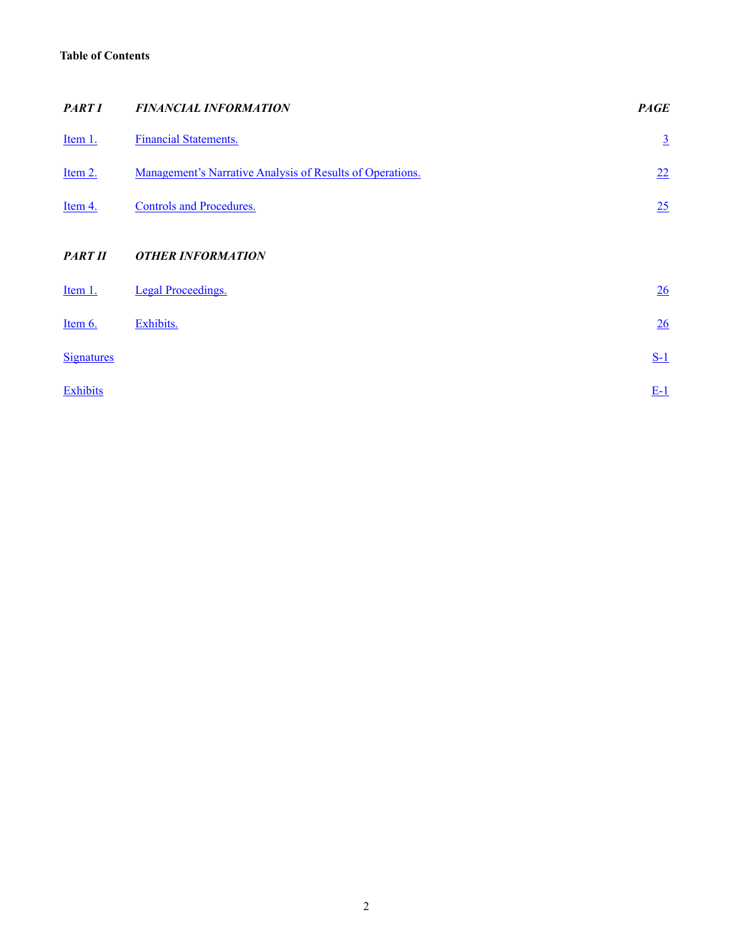## <span id="page-1-0"></span>**Table of Contents**

| <b>PART I</b>     | <b>FINANCIAL INFORMATION</b>                              | <b>PAGE</b>     |
|-------------------|-----------------------------------------------------------|-----------------|
| Item 1.           | <b>Financial Statements.</b>                              | $\underline{3}$ |
| Item 2.           | Management's Narrative Analysis of Results of Operations. | 22              |
| Item 4.           | <b>Controls and Procedures.</b>                           | 25              |
| <b>PART II</b>    | <b>OTHER INFORMATION</b>                                  |                 |
| Item 1.           | <b>Legal Proceedings.</b>                                 | 26              |
| Item 6.           | Exhibits.                                                 | 26              |
| <b>Signatures</b> |                                                           | $S-1$           |
| Exhibits          |                                                           | $E-1$           |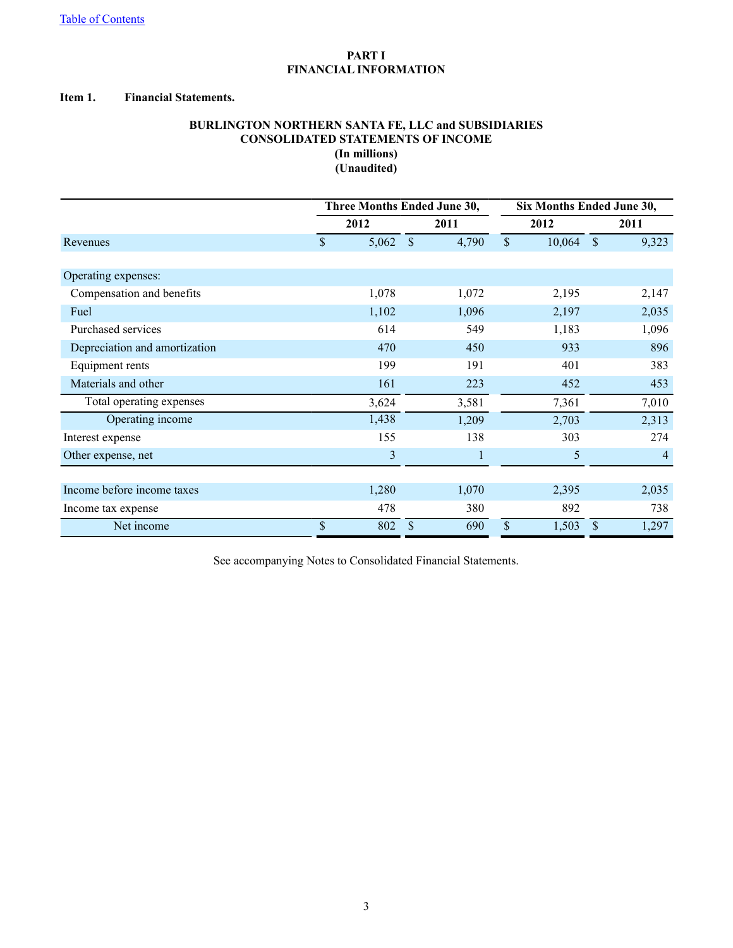## **PART I FINANCIAL INFORMATION**

#### <span id="page-2-0"></span>**Item 1. Financial Statements.**

## **BURLINGTON NORTHERN SANTA FE, LLC and SUBSIDIARIES CONSOLIDATED STATEMENTS OF INCOME (In millions) (Unaudited)**

|                               |               | Three Months Ended June 30, |                    |              |               | Six Months Ended June 30, |              |       |      |
|-------------------------------|---------------|-----------------------------|--------------------|--------------|---------------|---------------------------|--------------|-------|------|
|                               |               | 2012                        | 2011               |              | 2012          |                           |              |       | 2011 |
| Revenues                      | $\mathsf{\$}$ | 5,062                       | $\mathbf{\hat{s}}$ | 4,790        | $\mathcal{S}$ | 10,064                    | $\mathbb{S}$ | 9,323 |      |
|                               |               |                             |                    |              |               |                           |              |       |      |
| Operating expenses:           |               |                             |                    |              |               |                           |              |       |      |
| Compensation and benefits     |               | 1,078                       |                    | 1,072        |               | 2,195                     |              | 2,147 |      |
| Fuel                          |               | 1,102                       |                    | 1,096        |               | 2,197                     |              | 2,035 |      |
| Purchased services            |               | 614                         |                    | 549          |               | 1,183                     |              | 1,096 |      |
| Depreciation and amortization |               | 470                         |                    | 450          |               | 933                       |              | 896   |      |
| Equipment rents               |               | 199                         |                    | 191          |               | 401                       |              | 383   |      |
| Materials and other           |               | 161                         |                    | 223          |               | 452                       |              | 453   |      |
| Total operating expenses      |               | 3,624                       |                    | 3,581        |               | 7,361                     |              | 7,010 |      |
| Operating income              |               | 1,438                       |                    | 1,209        |               | 2,703                     |              | 2,313 |      |
| Interest expense              |               | 155                         |                    | 138          |               | 303                       |              | 274   |      |
| Other expense, net            |               | 3                           |                    | $\mathbf{1}$ |               | 5                         |              | 4     |      |
|                               |               |                             |                    |              |               |                           |              |       |      |
| Income before income taxes    |               | 1,280                       |                    | 1,070        |               | 2,395                     |              | 2,035 |      |
| Income tax expense            |               | 478                         |                    | 380          |               | 892                       |              | 738   |      |
| Net income                    | \$            | 802                         | \$                 | 690          | $\mathcal{S}$ | 1,503                     | \$           | 1,297 |      |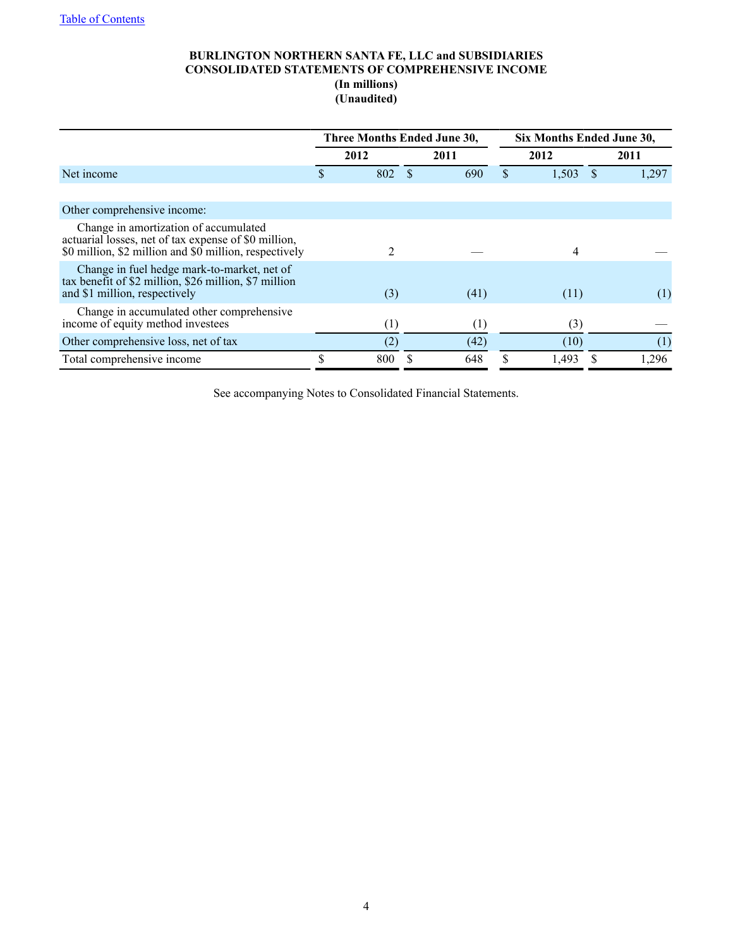## **BURLINGTON NORTHERN SANTA FE, LLC and SUBSIDIARIES CONSOLIDATED STATEMENTS OF COMPREHENSIVE INCOME (In millions) (Unaudited)**

|                                                                                                                                                         | Three Months Ended June 30, |                  |  |      | Six Months Ended June 30, |       |  |       |
|---------------------------------------------------------------------------------------------------------------------------------------------------------|-----------------------------|------------------|--|------|---------------------------|-------|--|-------|
|                                                                                                                                                         |                             | 2012             |  | 2011 |                           | 2012  |  | 2011  |
| Net income                                                                                                                                              |                             | 802              |  | 690  | \$                        | 1,503 |  | 1,297 |
|                                                                                                                                                         |                             |                  |  |      |                           |       |  |       |
| Other comprehensive income:                                                                                                                             |                             |                  |  |      |                           |       |  |       |
| Change in amortization of accumulated<br>actuarial losses, net of tax expense of \$0 million,<br>\$0 million, \$2 million and \$0 million, respectively |                             | 2                |  |      |                           | 4     |  |       |
| Change in fuel hedge mark-to-market, net of<br>tax benefit of \$2 million, \$26 million, \$7 million<br>and \$1 million, respectively                   |                             | (3)              |  | (41) |                           | (11)  |  | (1)   |
| Change in accumulated other comprehensive<br>income of equity method investees                                                                          |                             | $\left(1\right)$ |  | (1)  |                           | (3)   |  |       |
| Other comprehensive loss, net of tax                                                                                                                    |                             | (2)              |  | (42) |                           | (10)  |  | (1)   |
| Total comprehensive income                                                                                                                              | \$                          | 800              |  | 648  | S                         | 1.493 |  | 1,296 |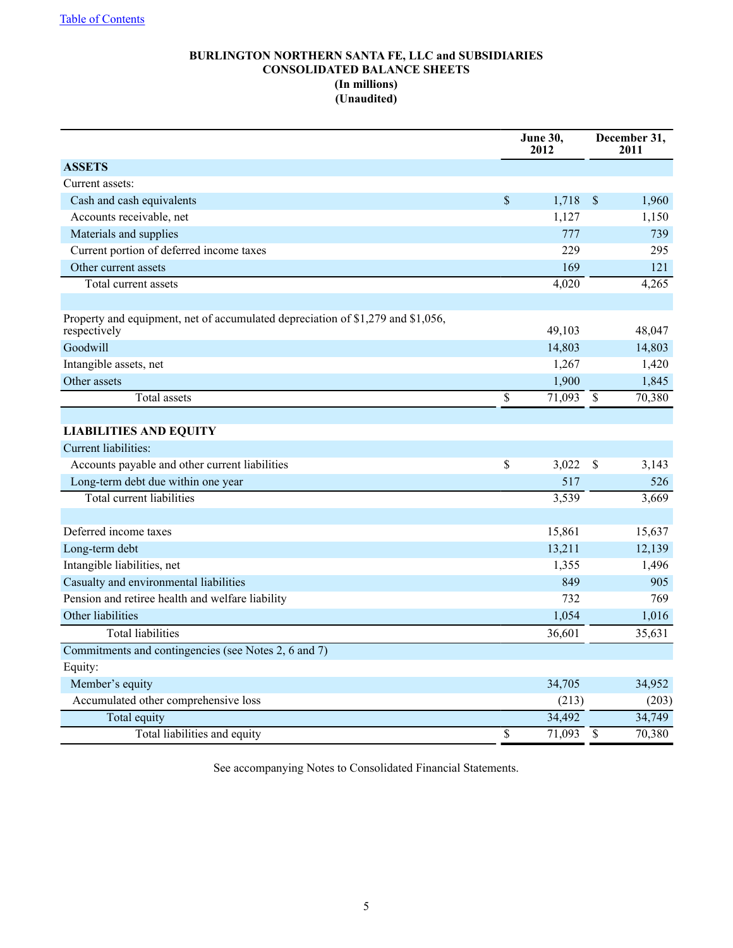## **BURLINGTON NORTHERN SANTA FE, LLC and SUBSIDIARIES CONSOLIDATED BALANCE SHEETS (In millions) (Unaudited)**

|                                                                                                 | <b>June 30,</b><br>2012 |                 | December 31,<br>2011 |
|-------------------------------------------------------------------------------------------------|-------------------------|-----------------|----------------------|
| <b>ASSETS</b>                                                                                   |                         |                 |                      |
| Current assets:                                                                                 |                         |                 |                      |
| Cash and cash equivalents                                                                       | \$<br>1,718             | $\mathsf{\$}$   | 1,960                |
| Accounts receivable, net                                                                        | 1,127                   |                 | 1,150                |
| Materials and supplies                                                                          | 777                     |                 | 739                  |
| Current portion of deferred income taxes                                                        | 229                     |                 | 295                  |
| Other current assets                                                                            | 169                     |                 | 121                  |
| Total current assets                                                                            | 4,020                   |                 | 4,265                |
|                                                                                                 |                         |                 |                      |
| Property and equipment, net of accumulated depreciation of \$1,279 and \$1,056,<br>respectively | 49,103                  |                 | 48,047               |
| Goodwill                                                                                        | 14,803                  |                 | 14,803               |
| Intangible assets, net                                                                          | 1,267                   |                 | 1,420                |
| Other assets                                                                                    | 1,900                   |                 | 1,845                |
| Total assets                                                                                    | \$<br>71,093            | \$              | 70,380               |
|                                                                                                 |                         |                 |                      |
| <b>LIABILITIES AND EQUITY</b>                                                                   |                         |                 |                      |
| Current liabilities:                                                                            |                         |                 |                      |
| Accounts payable and other current liabilities                                                  | \$<br>3,022             | \$              | 3,143                |
| Long-term debt due within one year                                                              | 517                     |                 | 526                  |
| <b>Total current liabilities</b>                                                                | 3,539                   |                 | 3,669                |
|                                                                                                 |                         |                 |                      |
| Deferred income taxes                                                                           | 15,861                  |                 | 15,637               |
| Long-term debt                                                                                  | 13,211                  |                 | 12,139               |
| Intangible liabilities, net                                                                     | 1,355                   |                 | 1,496                |
| Casualty and environmental liabilities                                                          | 849                     |                 | 905                  |
| Pension and retiree health and welfare liability                                                | 732                     |                 | 769                  |
| Other liabilities                                                                               | 1,054                   |                 | 1,016                |
| <b>Total liabilities</b>                                                                        | 36,601                  |                 | 35,631               |
| Commitments and contingencies (see Notes 2, 6 and 7)                                            |                         |                 |                      |
| Equity:                                                                                         |                         |                 |                      |
| Member's equity                                                                                 | 34,705                  |                 | 34,952               |
| Accumulated other comprehensive loss                                                            | (213)                   |                 | (203)                |
| Total equity                                                                                    | 34,492                  |                 | 34,749               |
| Total liabilities and equity                                                                    | \$<br>71,093            | $\overline{\$}$ | 70,380               |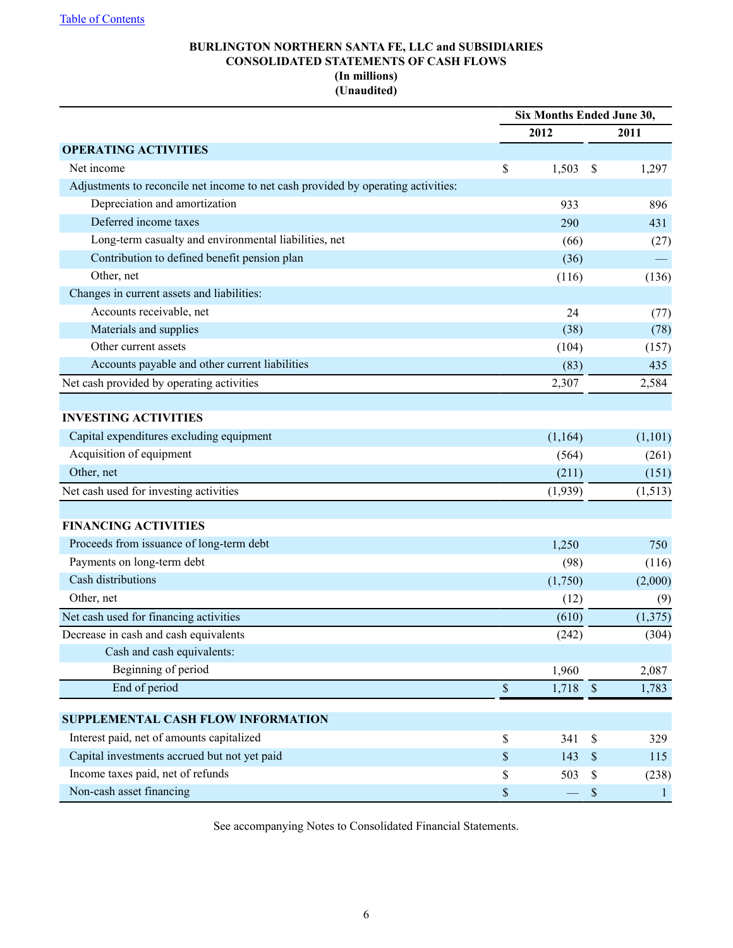## **BURLINGTON NORTHERN SANTA FE, LLC and SUBSIDIARIES CONSOLIDATED STATEMENTS OF CASH FLOWS (In millions) (Unaudited)**

|                                                                                   |             | Six Months Ended June 30, |              |
|-----------------------------------------------------------------------------------|-------------|---------------------------|--------------|
|                                                                                   | 2012        |                           | 2011         |
| <b>OPERATING ACTIVITIES</b>                                                       |             |                           |              |
| Net income                                                                        | \$<br>1,503 | \$                        | 1,297        |
| Adjustments to reconcile net income to net cash provided by operating activities: |             |                           |              |
| Depreciation and amortization                                                     | 933         |                           | 896          |
| Deferred income taxes                                                             | 290         |                           | 431          |
| Long-term casualty and environmental liabilities, net                             | (66)        |                           | (27)         |
| Contribution to defined benefit pension plan                                      | (36)        |                           |              |
| Other, net                                                                        | (116)       |                           | (136)        |
| Changes in current assets and liabilities:                                        |             |                           |              |
| Accounts receivable, net                                                          | 24          |                           | (77)         |
| Materials and supplies                                                            | (38)        |                           | (78)         |
| Other current assets                                                              | (104)       |                           | (157)        |
| Accounts payable and other current liabilities                                    | (83)        |                           | 435          |
| Net cash provided by operating activities                                         | 2,307       |                           | 2,584        |
|                                                                                   |             |                           |              |
| <b>INVESTING ACTIVITIES</b>                                                       |             |                           |              |
| Capital expenditures excluding equipment                                          | (1,164)     |                           | (1,101)      |
| Acquisition of equipment                                                          | (564)       |                           | (261)        |
| Other, net                                                                        | (211)       |                           | (151)        |
| Net cash used for investing activities                                            | (1,939)     |                           | (1,513)      |
|                                                                                   |             |                           |              |
| <b>FINANCING ACTIVITIES</b>                                                       |             |                           |              |
| Proceeds from issuance of long-term debt                                          | 1,250       |                           | 750          |
| Payments on long-term debt                                                        | (98)        |                           | (116)        |
| Cash distributions                                                                | (1,750)     |                           | (2,000)      |
| Other, net                                                                        | (12)        |                           | (9)          |
| Net cash used for financing activities                                            | (610)       |                           | (1,375)      |
| Decrease in cash and cash equivalents                                             | (242)       |                           | (304)        |
| Cash and cash equivalents:                                                        |             |                           |              |
| Beginning of period                                                               | 1,960       |                           | 2,087        |
| End of period                                                                     | \$<br>1,718 | $\sqrt{\ }$               | 1,783        |
| SUPPLEMENTAL CASH FLOW INFORMATION                                                |             |                           |              |
| Interest paid, net of amounts capitalized                                         | \$<br>341   | $\$$                      | 329          |
| Capital investments accrued but not yet paid                                      | \$<br>143   | $\$$                      | 115          |
| Income taxes paid, net of refunds                                                 | \$<br>503   | $\$$                      | (238)        |
| Non-cash asset financing                                                          | \$          | $\$$                      | $\mathbf{1}$ |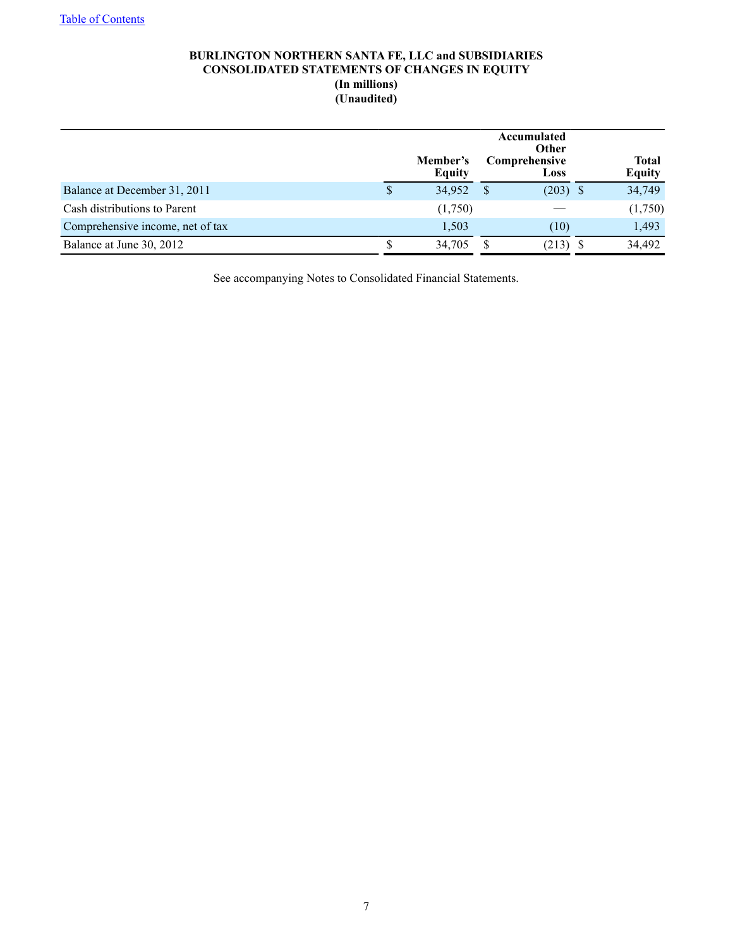## **BURLINGTON NORTHERN SANTA FE, LLC and SUBSIDIARIES CONSOLIDATED STATEMENTS OF CHANGES IN EQUITY (In millions) (Unaudited)**

|                                  |   | Member's<br><b>Equity</b> | Accumulated<br><b>Other</b><br><b>Comprehensive</b><br>Loss | <b>Total</b><br><b>Equity</b> |
|----------------------------------|---|---------------------------|-------------------------------------------------------------|-------------------------------|
| Balance at December 31, 2011     | S | 34,952                    | $(203)$ \$                                                  | 34,749                        |
| Cash distributions to Parent     |   | (1,750)                   |                                                             | (1,750)                       |
| Comprehensive income, net of tax |   | 1,503                     | (10)                                                        | 1,493                         |
| Balance at June 30, 2012         |   | 34,705                    | (213)                                                       | 34,492                        |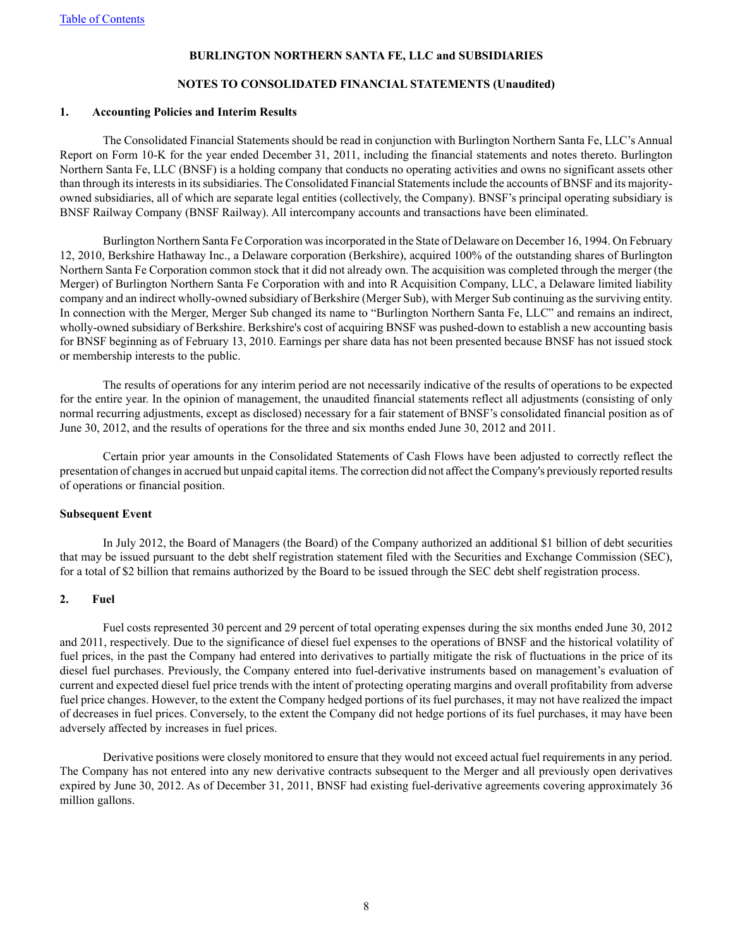#### **NOTES TO CONSOLIDATED FINANCIAL STATEMENTS (Unaudited)**

#### **1. Accounting Policies and Interim Results**

The Consolidated Financial Statements should be read in conjunction with Burlington Northern Santa Fe, LLC's Annual Report on Form 10-K for the year ended December 31, 2011, including the financial statements and notes thereto. Burlington Northern Santa Fe, LLC (BNSF) is a holding company that conducts no operating activities and owns no significant assets other than through its interests in its subsidiaries. The Consolidated Financial Statements include the accounts of BNSF and its majorityowned subsidiaries, all of which are separate legal entities (collectively, the Company). BNSF's principal operating subsidiary is BNSF Railway Company (BNSF Railway). All intercompany accounts and transactions have been eliminated.

Burlington Northern Santa Fe Corporation was incorporated in the State of Delaware on December 16, 1994. On February 12, 2010, Berkshire Hathaway Inc., a Delaware corporation (Berkshire), acquired 100% of the outstanding shares of Burlington Northern Santa Fe Corporation common stock that it did not already own. The acquisition was completed through the merger (the Merger) of Burlington Northern Santa Fe Corporation with and into R Acquisition Company, LLC, a Delaware limited liability company and an indirect wholly-owned subsidiary of Berkshire (Merger Sub), with Merger Sub continuing as the surviving entity. In connection with the Merger, Merger Sub changed its name to "Burlington Northern Santa Fe, LLC" and remains an indirect, wholly-owned subsidiary of Berkshire. Berkshire's cost of acquiring BNSF was pushed-down to establish a new accounting basis for BNSF beginning as of February 13, 2010. Earnings per share data has not been presented because BNSF has not issued stock or membership interests to the public.

The results of operations for any interim period are not necessarily indicative of the results of operations to be expected for the entire year. In the opinion of management, the unaudited financial statements reflect all adjustments (consisting of only normal recurring adjustments, except as disclosed) necessary for a fair statement of BNSF's consolidated financial position as of June 30, 2012, and the results of operations for the three and six months ended June 30, 2012 and 2011.

Certain prior year amounts in the Consolidated Statements of Cash Flows have been adjusted to correctly reflect the presentation of changes in accrued but unpaid capital items. The correction did not affect the Company's previously reported results of operations or financial position.

#### **Subsequent Event**

In July 2012, the Board of Managers (the Board) of the Company authorized an additional \$1 billion of debt securities that may be issued pursuant to the debt shelf registration statement filed with the Securities and Exchange Commission (SEC), for a total of \$2 billion that remains authorized by the Board to be issued through the SEC debt shelf registration process.

#### **2. Fuel**

Fuel costs represented 30 percent and 29 percent of total operating expenses during the six months ended June 30, 2012 and 2011, respectively. Due to the significance of diesel fuel expenses to the operations of BNSF and the historical volatility of fuel prices, in the past the Company had entered into derivatives to partially mitigate the risk of fluctuations in the price of its diesel fuel purchases. Previously, the Company entered into fuel-derivative instruments based on management's evaluation of current and expected diesel fuel price trends with the intent of protecting operating margins and overall profitability from adverse fuel price changes. However, to the extent the Company hedged portions of its fuel purchases, it may not have realized the impact of decreases in fuel prices. Conversely, to the extent the Company did not hedge portions of its fuel purchases, it may have been adversely affected by increases in fuel prices.

Derivative positions were closely monitored to ensure that they would not exceed actual fuel requirements in any period. The Company has not entered into any new derivative contracts subsequent to the Merger and all previously open derivatives expired by June 30, 2012. As of December 31, 2011, BNSF had existing fuel-derivative agreements covering approximately 36 million gallons.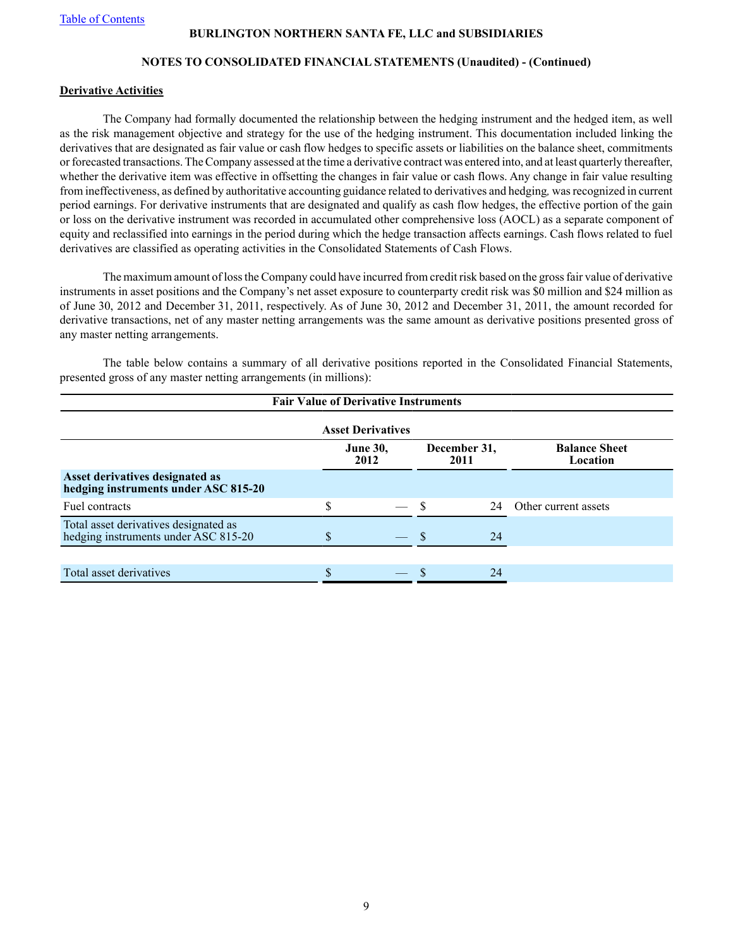## **NOTES TO CONSOLIDATED FINANCIAL STATEMENTS (Unaudited) - (Continued)**

#### **Derivative Activities**

The Company had formally documented the relationship between the hedging instrument and the hedged item, as well as the risk management objective and strategy for the use of the hedging instrument. This documentation included linking the derivatives that are designated as fair value or cash flow hedges to specific assets or liabilities on the balance sheet, commitments or forecasted transactions. The Company assessed at the time a derivative contract was entered into, and at least quarterly thereafter, whether the derivative item was effective in offsetting the changes in fair value or cash flows. Any change in fair value resulting from ineffectiveness, as defined by authoritative accounting guidance related to derivatives and hedging*,* was recognized in current period earnings. For derivative instruments that are designated and qualify as cash flow hedges, the effective portion of the gain or loss on the derivative instrument was recorded in accumulated other comprehensive loss (AOCL) as a separate component of equity and reclassified into earnings in the period during which the hedge transaction affects earnings. Cash flows related to fuel derivatives are classified as operating activities in the Consolidated Statements of Cash Flows.

The maximum amount of loss the Company could have incurred from credit risk based on the gross fair value of derivative instruments in asset positions and the Company's net asset exposure to counterparty credit risk was \$0 million and \$24 million as of June 30, 2012 and December 31, 2011, respectively. As of June 30, 2012 and December 31, 2011, the amount recorded for derivative transactions, net of any master netting arrangements was the same amount as derivative positions presented gross of any master netting arrangements.

The table below contains a summary of all derivative positions reported in the Consolidated Financial Statements, presented gross of any master netting arrangements (in millions):

| <b>Fair Value of Derivative Instruments</b>                                         |    |  |  |    |                      |  |  |  |  |  |
|-------------------------------------------------------------------------------------|----|--|--|----|----------------------|--|--|--|--|--|
| <b>Asset Derivatives</b>                                                            |    |  |  |    |                      |  |  |  |  |  |
| December 31,<br><b>Balance Sheet</b><br><b>June 30,</b><br>2012<br>Location<br>2011 |    |  |  |    |                      |  |  |  |  |  |
| Asset derivatives designated as<br>hedging instruments under ASC 815-20             |    |  |  |    |                      |  |  |  |  |  |
| Fuel contracts                                                                      | \$ |  |  | 24 | Other current assets |  |  |  |  |  |
| Total asset derivatives designated as<br>hedging instruments under ASC 815-20       | S  |  |  | 24 |                      |  |  |  |  |  |
|                                                                                     |    |  |  |    |                      |  |  |  |  |  |
| Total asset derivatives                                                             |    |  |  | 24 |                      |  |  |  |  |  |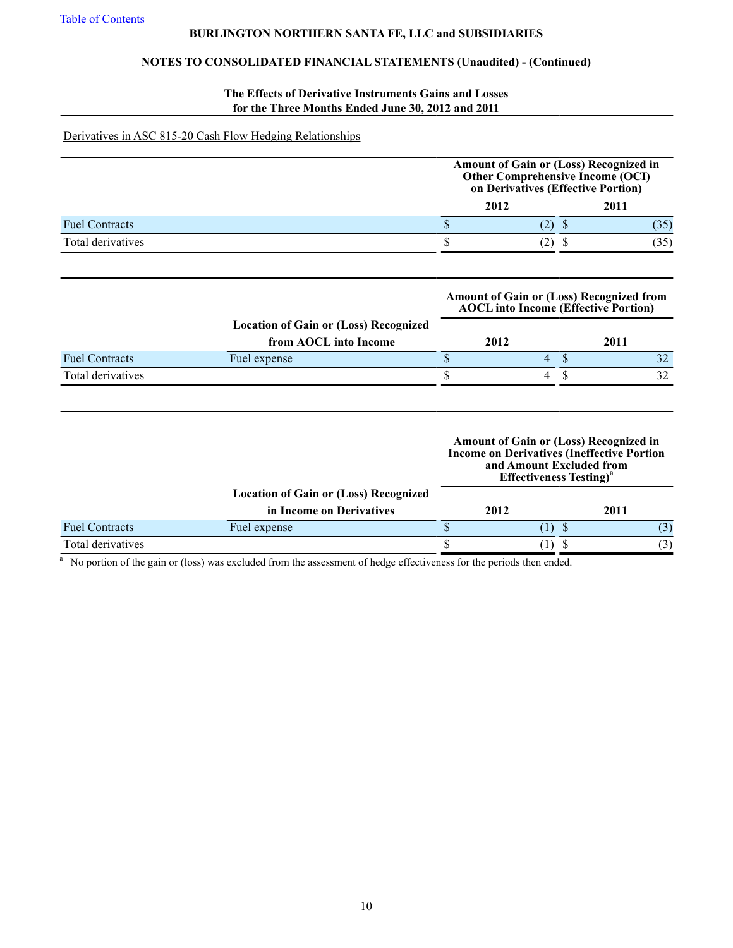# **NOTES TO CONSOLIDATED FINANCIAL STATEMENTS (Unaudited) - (Continued)**

## **The Effects of Derivative Instruments Gains and Losses for the Three Months Ended June 30, 2012 and 2011**

#### Derivatives in ASC 815-20 Cash Flow Hedging Relationships

|                       | Amount of Gain or (Loss) Recognized in<br>Other Comprehensive Income (OCI)<br>on Derivatives (Effective Portion) |      |  |  |  |  |  |
|-----------------------|------------------------------------------------------------------------------------------------------------------|------|--|--|--|--|--|
|                       | 2012                                                                                                             | 2011 |  |  |  |  |  |
| <b>Fuel Contracts</b> |                                                                                                                  |      |  |  |  |  |  |
| Total derivatives     |                                                                                                                  |      |  |  |  |  |  |

|                       |                                                                       |      |   | <b>Amount of Gain or (Loss) Recognized from</b><br><b>AOCL</b> into Income (Effective Portion) |
|-----------------------|-----------------------------------------------------------------------|------|---|------------------------------------------------------------------------------------------------|
|                       | <b>Location of Gain or (Loss) Recognized</b><br>from AOCL into Income | 2012 |   | 2011                                                                                           |
| <b>Fuel Contracts</b> | Fuel expense                                                          |      | 4 | 32 <sub>1</sub>                                                                                |
| Total derivatives     |                                                                       |      |   | 32                                                                                             |
|                       |                                                                       |      |   |                                                                                                |

|                       |                                              |      | and Amount Excluded from<br><b>Effectiveness Testing</b> <sup>*</sup> | <b>Amount of Gain or (Loss) Recognized in</b><br><b>Income on Derivatives (Ineffective Portion</b> |
|-----------------------|----------------------------------------------|------|-----------------------------------------------------------------------|----------------------------------------------------------------------------------------------------|
|                       | <b>Location of Gain or (Loss) Recognized</b> |      |                                                                       |                                                                                                    |
|                       | in Income on Derivatives                     | 2012 |                                                                       | 2011                                                                                               |
| <b>Fuel Contracts</b> | Fuel expense                                 |      |                                                                       |                                                                                                    |
| Total derivatives     |                                              |      |                                                                       | (3)                                                                                                |

<sup>a</sup> No portion of the gain or (loss) was excluded from the assessment of hedge effectiveness for the periods then ended.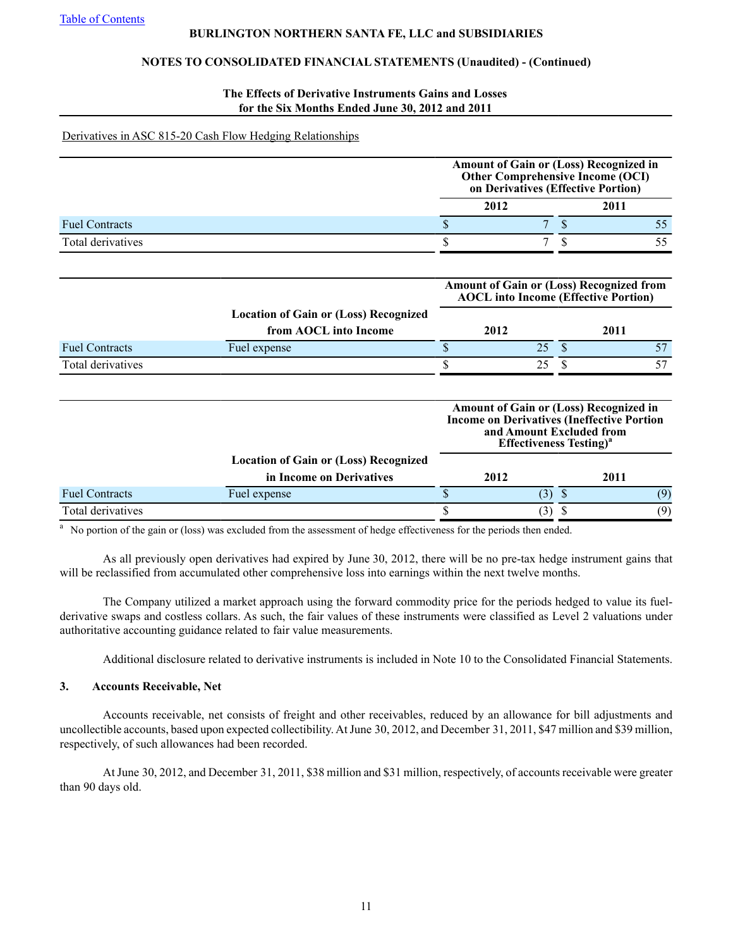## **NOTES TO CONSOLIDATED FINANCIAL STATEMENTS (Unaudited) - (Continued)**

#### **The Effects of Derivative Instruments Gains and Losses for the Six Months Ended June 30, 2012 and 2011**

#### Derivatives in ASC 815-20 Cash Flow Hedging Relationships

|                       |                                              | on Derivatives (Effective Portion)                                    |               | Amount of Gain or (Loss) Recognized in<br>Other Comprehensive Income (OCI)                         |
|-----------------------|----------------------------------------------|-----------------------------------------------------------------------|---------------|----------------------------------------------------------------------------------------------------|
|                       |                                              | 2012                                                                  |               | 2011                                                                                               |
| <b>Fuel Contracts</b> |                                              | \$<br>7                                                               | $\mathbf S$   | 55                                                                                                 |
| Total derivatives     |                                              | \$<br>$\overline{7}$                                                  | \$            | 55                                                                                                 |
|                       |                                              |                                                                       |               | <b>Amount of Gain or (Loss) Recognized from</b><br><b>AOCL</b> into Income (Effective Portion)     |
|                       | <b>Location of Gain or (Loss) Recognized</b> |                                                                       |               |                                                                                                    |
|                       | from AOCL into Income                        | 2012                                                                  | 2011          |                                                                                                    |
| <b>Fuel Contracts</b> | Fuel expense                                 | \$<br>25                                                              | $\mathbf{\$}$ | 57                                                                                                 |
| Total derivatives     |                                              | \$<br>25                                                              | S             | 57                                                                                                 |
|                       |                                              | and Amount Excluded from<br><b>Effectiveness Testing</b> <sup>a</sup> |               | <b>Amount of Gain or (Loss) Recognized in</b><br><b>Income on Derivatives (Ineffective Portion</b> |
|                       | <b>Location of Gain or (Loss) Recognized</b> |                                                                       |               |                                                                                                    |
|                       | in Income on Derivatives                     | 2012                                                                  |               | 2011                                                                                               |
| <b>Fuel Contracts</b> | Fuel expense                                 | \$<br>(3)                                                             | $\mathcal{S}$ | (9)                                                                                                |
| Total derivatives     |                                              | \$<br>(3)                                                             | \$            | (9)                                                                                                |

<sup>a</sup>No portion of the gain or (loss) was excluded from the assessment of hedge effectiveness for the periods then ended.

As all previously open derivatives had expired by June 30, 2012, there will be no pre-tax hedge instrument gains that will be reclassified from accumulated other comprehensive loss into earnings within the next twelve months.

The Company utilized a market approach using the forward commodity price for the periods hedged to value its fuelderivative swaps and costless collars. As such, the fair values of these instruments were classified as Level 2 valuations under authoritative accounting guidance related to fair value measurements.

Additional disclosure related to derivative instruments is included in Note 10 to the Consolidated Financial Statements.

## **3. Accounts Receivable, Net**

Accounts receivable, net consists of freight and other receivables, reduced by an allowance for bill adjustments and uncollectible accounts, based upon expected collectibility. At June 30, 2012, and December 31, 2011, \$47 million and \$39 million, respectively, of such allowances had been recorded.

At June 30, 2012, and December 31, 2011, \$38 million and \$31 million, respectively, of accounts receivable were greater than 90 days old.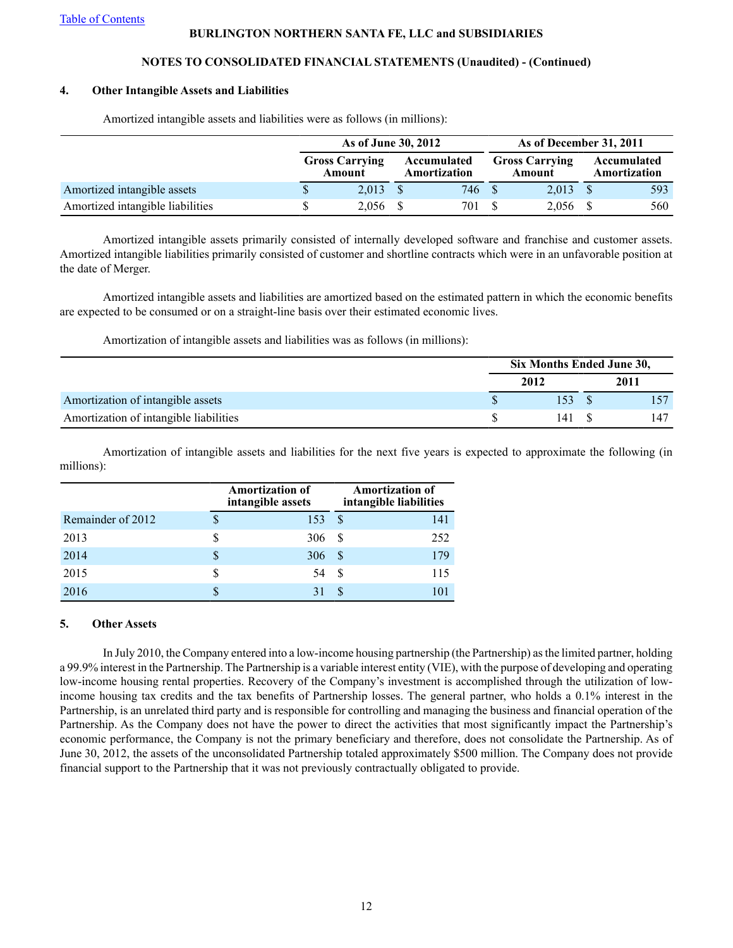## **NOTES TO CONSOLIDATED FINANCIAL STATEMENTS (Unaudited) - (Continued)**

#### **4. Other Intangible Assets and Liabilities**

|                                  | As of June 30, 2012             |  |                             |  | As of December 31, 2011         |                             |
|----------------------------------|---------------------------------|--|-----------------------------|--|---------------------------------|-----------------------------|
|                                  | <b>Gross Carrying</b><br>Amount |  | Accumulated<br>Amortization |  | <b>Gross Carrying</b><br>Amount | Accumulated<br>Amortization |
| Amortized intangible assets      | 2.013                           |  | 746 \$                      |  | $2.013 \quad$ \$                | 593                         |
| Amortized intangible liabilities | 2,056                           |  | 701                         |  | 2,056                           | 560                         |

Amortized intangible assets and liabilities were as follows (in millions):

Amortized intangible assets primarily consisted of internally developed software and franchise and customer assets. Amortized intangible liabilities primarily consisted of customer and shortline contracts which were in an unfavorable position at the date of Merger.

Amortized intangible assets and liabilities are amortized based on the estimated pattern in which the economic benefits are expected to be consumed or on a straight-line basis over their estimated economic lives.

Amortization of intangible assets and liabilities was as follows (in millions):

|                                        | Six Months Ended June 30, |      |     |  |  |
|----------------------------------------|---------------------------|------|-----|--|--|
|                                        | 2012                      | 2011 |     |  |  |
| Amortization of intangible assets      | 153                       |      |     |  |  |
| Amortization of intangible liabilities | 141                       |      | 147 |  |  |

Amortization of intangible assets and liabilities for the next five years is expected to approximate the following (in millions):

|                   |   | <b>Amortization of</b><br>intangible assets |          | <b>Amortization of</b><br>intangible liabilities |
|-------------------|---|---------------------------------------------|----------|--------------------------------------------------|
| Remainder of 2012 | S | 153                                         | \$.      | 141                                              |
| 2013              |   | 306                                         | <b>S</b> | 252                                              |
| 2014              | S | 306                                         | S        | 179                                              |
| 2015              |   | 54                                          | <b>S</b> | 115                                              |
| 2016              |   |                                             | <b>S</b> |                                                  |

## **5. Other Assets**

In July 2010, the Company entered into a low-income housing partnership (the Partnership) as the limited partner, holding a 99.9% interest in the Partnership. The Partnership is a variable interest entity (VIE), with the purpose of developing and operating low-income housing rental properties. Recovery of the Company's investment is accomplished through the utilization of lowincome housing tax credits and the tax benefits of Partnership losses. The general partner, who holds a 0.1% interest in the Partnership, is an unrelated third party and is responsible for controlling and managing the business and financial operation of the Partnership. As the Company does not have the power to direct the activities that most significantly impact the Partnership's economic performance, the Company is not the primary beneficiary and therefore, does not consolidate the Partnership. As of June 30, 2012, the assets of the unconsolidated Partnership totaled approximately \$500 million. The Company does not provide financial support to the Partnership that it was not previously contractually obligated to provide.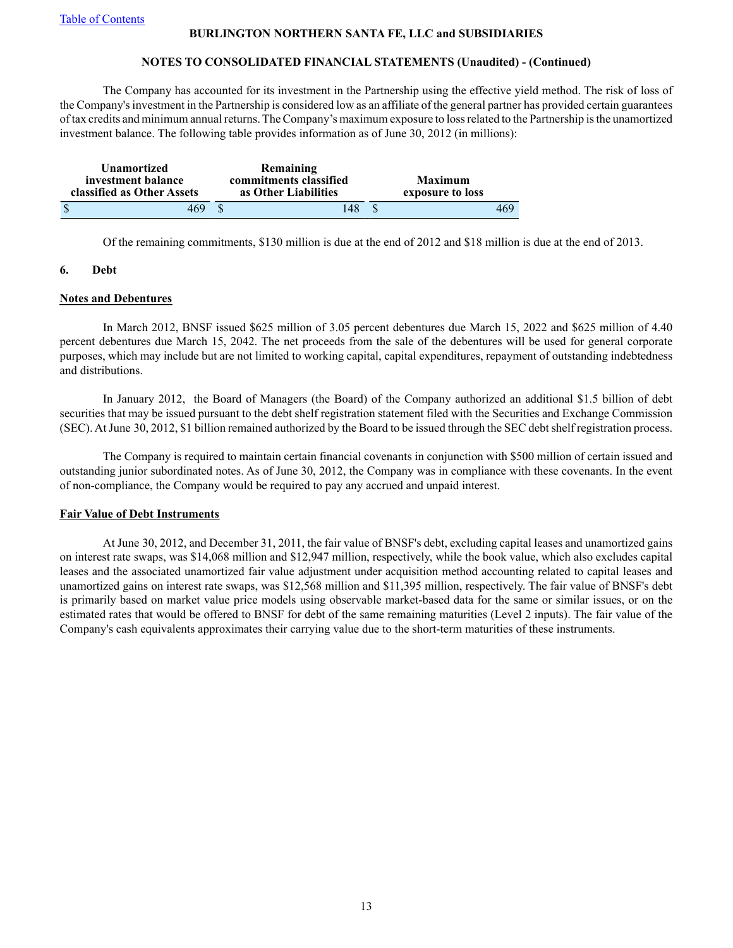## **NOTES TO CONSOLIDATED FINANCIAL STATEMENTS (Unaudited) - (Continued)**

The Company has accounted for its investment in the Partnership using the effective yield method. The risk of loss of the Company's investment in the Partnership is considered low as an affiliate of the general partner has provided certain guarantees of tax credits and minimum annual returns. The Company's maximum exposure to loss related to the Partnership is the unamortized investment balance. The following table provides information as of June 30, 2012 (in millions):

| <b>Unamortized</b><br>investment balance<br>classified as Other Assets |  | Remaining<br>commitments classified<br>as Other Liabilities |  |  |     |
|------------------------------------------------------------------------|--|-------------------------------------------------------------|--|--|-----|
| 469                                                                    |  | 48                                                          |  |  | 469 |

Of the remaining commitments, \$130 million is due at the end of 2012 and \$18 million is due at the end of 2013.

## **6. Debt**

#### **Notes and Debentures**

In March 2012, BNSF issued \$625 million of 3.05 percent debentures due March 15, 2022 and \$625 million of 4.40 percent debentures due March 15, 2042. The net proceeds from the sale of the debentures will be used for general corporate purposes, which may include but are not limited to working capital, capital expenditures, repayment of outstanding indebtedness and distributions.

In January 2012, the Board of Managers (the Board) of the Company authorized an additional \$1.5 billion of debt securities that may be issued pursuant to the debt shelf registration statement filed with the Securities and Exchange Commission (SEC). At June 30, 2012, \$1 billion remained authorized by the Board to be issued through the SEC debt shelf registration process.

The Company is required to maintain certain financial covenants in conjunction with \$500 million of certain issued and outstanding junior subordinated notes. As of June 30, 2012, the Company was in compliance with these covenants. In the event of non-compliance, the Company would be required to pay any accrued and unpaid interest.

## **Fair Value of Debt Instruments**

At June 30, 2012, and December 31, 2011, the fair value of BNSF's debt, excluding capital leases and unamortized gains on interest rate swaps, was \$14,068 million and \$12,947 million, respectively, while the book value, which also excludes capital leases and the associated unamortized fair value adjustment under acquisition method accounting related to capital leases and unamortized gains on interest rate swaps, was \$12,568 million and \$11,395 million, respectively. The fair value of BNSF's debt is primarily based on market value price models using observable market-based data for the same or similar issues, or on the estimated rates that would be offered to BNSF for debt of the same remaining maturities (Level 2 inputs). The fair value of the Company's cash equivalents approximates their carrying value due to the short-term maturities of these instruments.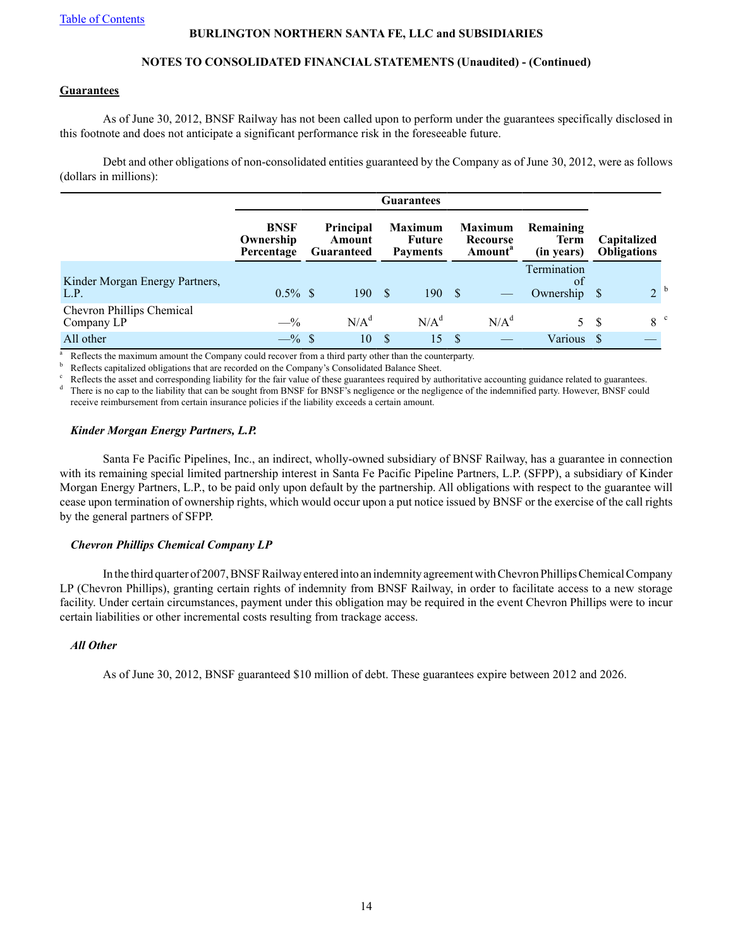## **NOTES TO CONSOLIDATED FINANCIAL STATEMENTS (Unaudited) - (Continued)**

#### **Guarantees**

As of June 30, 2012, BNSF Railway has not been called upon to perform under the guarantees specifically disclosed in this footnote and does not anticipate a significant performance risk in the foreseeable future.

Debt and other obligations of non-consolidated entities guaranteed by the Company as of June 30, 2012, were as follows (dollars in millions):

|                                         | Guarantees                             |                                          |                  |      |                                             |  |                                                   |                                        |                                   |
|-----------------------------------------|----------------------------------------|------------------------------------------|------------------|------|---------------------------------------------|--|---------------------------------------------------|----------------------------------------|-----------------------------------|
|                                         | <b>BNSF</b><br>Ownership<br>Percentage | <b>Principal</b><br>Amount<br>Guaranteed |                  |      | <b>Maximum</b><br>Future<br><b>Payments</b> |  | <b>Maximum</b><br>Recourse<br>Amount <sup>a</sup> | Remaining<br><b>Term</b><br>(in years) | Capitalized<br><b>Obligations</b> |
| Kinder Morgan Energy Partners,<br>L.P.  | $0.5\%$ \$                             |                                          | 190S             |      | 190S                                        |  |                                                   | Termination<br>of<br>Ownership \$      | 2 <sup>b</sup>                    |
| Chevron Phillips Chemical<br>Company LP | $-$ %                                  |                                          | N/A <sup>d</sup> |      | $N/A^d$                                     |  | $N/A^d$                                           | 5S                                     | 8 <sup>c</sup>                    |
| All other                               | $-$ % \$                               |                                          | 10               | - \$ | 15                                          |  |                                                   | Various                                |                                   |

Reflects the maximum amount the Company could recover from a third party other than the counterparty.

Reflects capitalized obligations that are recorded on the Company's Consolidated Balance Sheet.

Reflects the asset and corresponding liability for the fair value of these guarantees required by authoritative accounting guidance related to guarantees.

There is no cap to the liability that can be sought from BNSF for BNSF's negligence or the negligence of the indemnified party. However, BNSF could receive reimbursement from certain insurance policies if the liability exceeds a certain amount.

## *Kinder Morgan Energy Partners, L.P.*

Santa Fe Pacific Pipelines, Inc., an indirect, wholly-owned subsidiary of BNSF Railway, has a guarantee in connection with its remaining special limited partnership interest in Santa Fe Pacific Pipeline Partners, L.P. (SFPP), a subsidiary of Kinder Morgan Energy Partners, L.P., to be paid only upon default by the partnership. All obligations with respect to the guarantee will cease upon termination of ownership rights, which would occur upon a put notice issued by BNSF or the exercise of the call rights by the general partners of SFPP.

## *Chevron Phillips Chemical Company LP*

In the third quarter of 2007, BNSF Railway entered into an indemnity agreement with Chevron Phillips Chemical Company LP (Chevron Phillips), granting certain rights of indemnity from BNSF Railway, in order to facilitate access to a new storage facility. Under certain circumstances, payment under this obligation may be required in the event Chevron Phillips were to incur certain liabilities or other incremental costs resulting from trackage access.

## *All Other*

As of June 30, 2012, BNSF guaranteed \$10 million of debt. These guarantees expire between 2012 and 2026.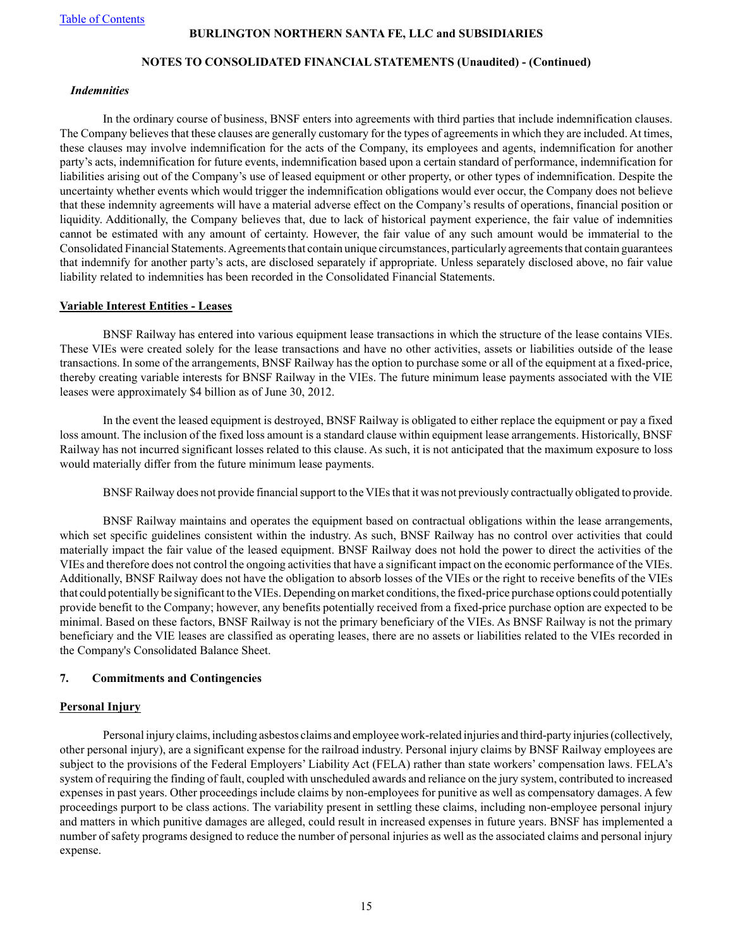#### **NOTES TO CONSOLIDATED FINANCIAL STATEMENTS (Unaudited) - (Continued)**

#### *Indemnities*

In the ordinary course of business, BNSF enters into agreements with third parties that include indemnification clauses. The Company believes that these clauses are generally customary for the types of agreements in which they are included. At times, these clauses may involve indemnification for the acts of the Company, its employees and agents, indemnification for another party's acts, indemnification for future events, indemnification based upon a certain standard of performance, indemnification for liabilities arising out of the Company's use of leased equipment or other property, or other types of indemnification. Despite the uncertainty whether events which would trigger the indemnification obligations would ever occur, the Company does not believe that these indemnity agreements will have a material adverse effect on the Company's results of operations, financial position or liquidity. Additionally, the Company believes that, due to lack of historical payment experience, the fair value of indemnities cannot be estimated with any amount of certainty. However, the fair value of any such amount would be immaterial to the Consolidated Financial Statements. Agreements that contain unique circumstances, particularly agreements that contain guarantees that indemnify for another party's acts, are disclosed separately if appropriate. Unless separately disclosed above, no fair value liability related to indemnities has been recorded in the Consolidated Financial Statements.

#### **Variable Interest Entities - Leases**

BNSF Railway has entered into various equipment lease transactions in which the structure of the lease contains VIEs. These VIEs were created solely for the lease transactions and have no other activities, assets or liabilities outside of the lease transactions. In some of the arrangements, BNSF Railway has the option to purchase some or all of the equipment at a fixed-price, thereby creating variable interests for BNSF Railway in the VIEs. The future minimum lease payments associated with the VIE leases were approximately \$4 billion as of June 30, 2012.

In the event the leased equipment is destroyed, BNSF Railway is obligated to either replace the equipment or pay a fixed loss amount. The inclusion of the fixed loss amount is a standard clause within equipment lease arrangements. Historically, BNSF Railway has not incurred significant losses related to this clause. As such, it is not anticipated that the maximum exposure to loss would materially differ from the future minimum lease payments.

BNSF Railway does not provide financial support to the VIEs that it was not previously contractually obligated to provide.

BNSF Railway maintains and operates the equipment based on contractual obligations within the lease arrangements, which set specific guidelines consistent within the industry. As such, BNSF Railway has no control over activities that could materially impact the fair value of the leased equipment. BNSF Railway does not hold the power to direct the activities of the VIEs and therefore does not control the ongoing activities that have a significant impact on the economic performance of the VIEs. Additionally, BNSF Railway does not have the obligation to absorb losses of the VIEs or the right to receive benefits of the VIEs that could potentially be significant to the VIEs. Depending on market conditions, the fixed-price purchase options could potentially provide benefit to the Company; however, any benefits potentially received from a fixed-price purchase option are expected to be minimal. Based on these factors, BNSF Railway is not the primary beneficiary of the VIEs. As BNSF Railway is not the primary beneficiary and the VIE leases are classified as operating leases, there are no assets or liabilities related to the VIEs recorded in the Company's Consolidated Balance Sheet.

#### **7. Commitments and Contingencies**

#### **Personal Injury**

Personal injury claims, including asbestos claims and employee work-related injuries and third-party injuries (collectively, other personal injury), are a significant expense for the railroad industry. Personal injury claims by BNSF Railway employees are subject to the provisions of the Federal Employers' Liability Act (FELA) rather than state workers' compensation laws. FELA's system of requiring the finding of fault, coupled with unscheduled awards and reliance on the jury system, contributed to increased expenses in past years. Other proceedings include claims by non-employees for punitive as well as compensatory damages. A few proceedings purport to be class actions. The variability present in settling these claims, including non-employee personal injury and matters in which punitive damages are alleged, could result in increased expenses in future years. BNSF has implemented a number of safety programs designed to reduce the number of personal injuries as well as the associated claims and personal injury expense.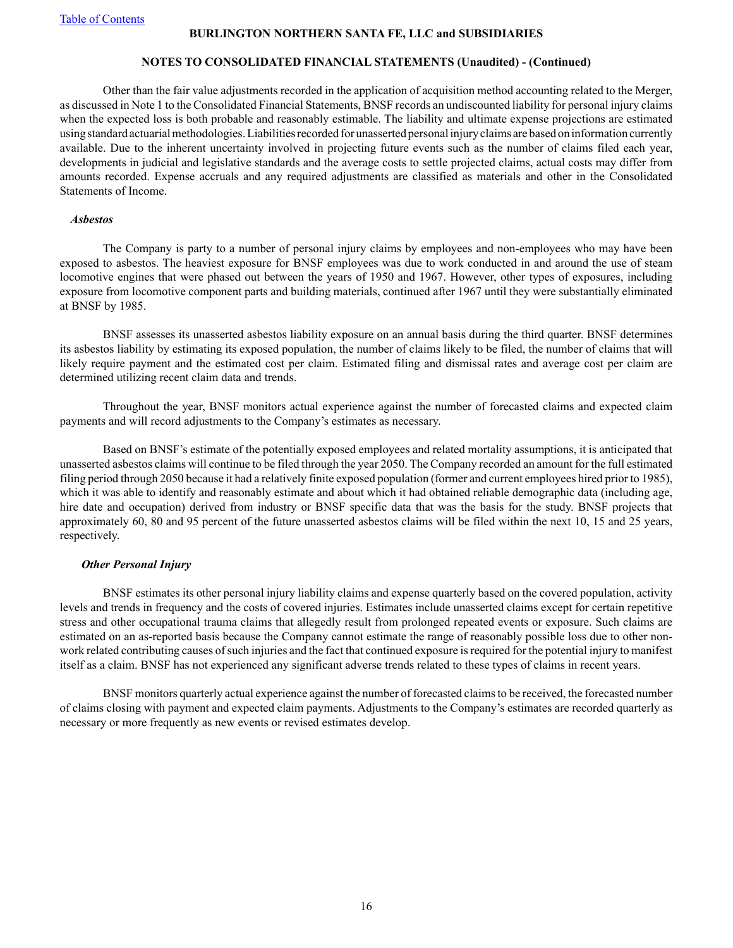#### **NOTES TO CONSOLIDATED FINANCIAL STATEMENTS (Unaudited) - (Continued)**

Other than the fair value adjustments recorded in the application of acquisition method accounting related to the Merger, as discussed in Note 1 to the Consolidated Financial Statements, BNSF records an undiscounted liability for personal injury claims when the expected loss is both probable and reasonably estimable. The liability and ultimate expense projections are estimated using standard actuarial methodologies. Liabilities recorded for unasserted personal injury claims are based on information currently available. Due to the inherent uncertainty involved in projecting future events such as the number of claims filed each year, developments in judicial and legislative standards and the average costs to settle projected claims, actual costs may differ from amounts recorded. Expense accruals and any required adjustments are classified as materials and other in the Consolidated Statements of Income.

#### *Asbestos*

The Company is party to a number of personal injury claims by employees and non-employees who may have been exposed to asbestos. The heaviest exposure for BNSF employees was due to work conducted in and around the use of steam locomotive engines that were phased out between the years of 1950 and 1967. However, other types of exposures, including exposure from locomotive component parts and building materials, continued after 1967 until they were substantially eliminated at BNSF by 1985.

BNSF assesses its unasserted asbestos liability exposure on an annual basis during the third quarter. BNSF determines its asbestos liability by estimating its exposed population, the number of claims likely to be filed, the number of claims that will likely require payment and the estimated cost per claim. Estimated filing and dismissal rates and average cost per claim are determined utilizing recent claim data and trends.

Throughout the year, BNSF monitors actual experience against the number of forecasted claims and expected claim payments and will record adjustments to the Company's estimates as necessary.

Based on BNSF's estimate of the potentially exposed employees and related mortality assumptions, it is anticipated that unasserted asbestos claims will continue to be filed through the year 2050. The Company recorded an amount for the full estimated filing period through 2050 because it had a relatively finite exposed population (former and current employees hired prior to 1985), which it was able to identify and reasonably estimate and about which it had obtained reliable demographic data (including age, hire date and occupation) derived from industry or BNSF specific data that was the basis for the study. BNSF projects that approximately 60, 80 and 95 percent of the future unasserted asbestos claims will be filed within the next 10, 15 and 25 years, respectively.

#### *Other Personal Injury*

BNSF estimates its other personal injury liability claims and expense quarterly based on the covered population, activity levels and trends in frequency and the costs of covered injuries. Estimates include unasserted claims except for certain repetitive stress and other occupational trauma claims that allegedly result from prolonged repeated events or exposure. Such claims are estimated on an as-reported basis because the Company cannot estimate the range of reasonably possible loss due to other nonwork related contributing causes of such injuries and the fact that continued exposure is required for the potential injury to manifest itself as a claim. BNSF has not experienced any significant adverse trends related to these types of claims in recent years.

BNSF monitors quarterly actual experience against the number of forecasted claims to be received, the forecasted number of claims closing with payment and expected claim payments. Adjustments to the Company's estimates are recorded quarterly as necessary or more frequently as new events or revised estimates develop.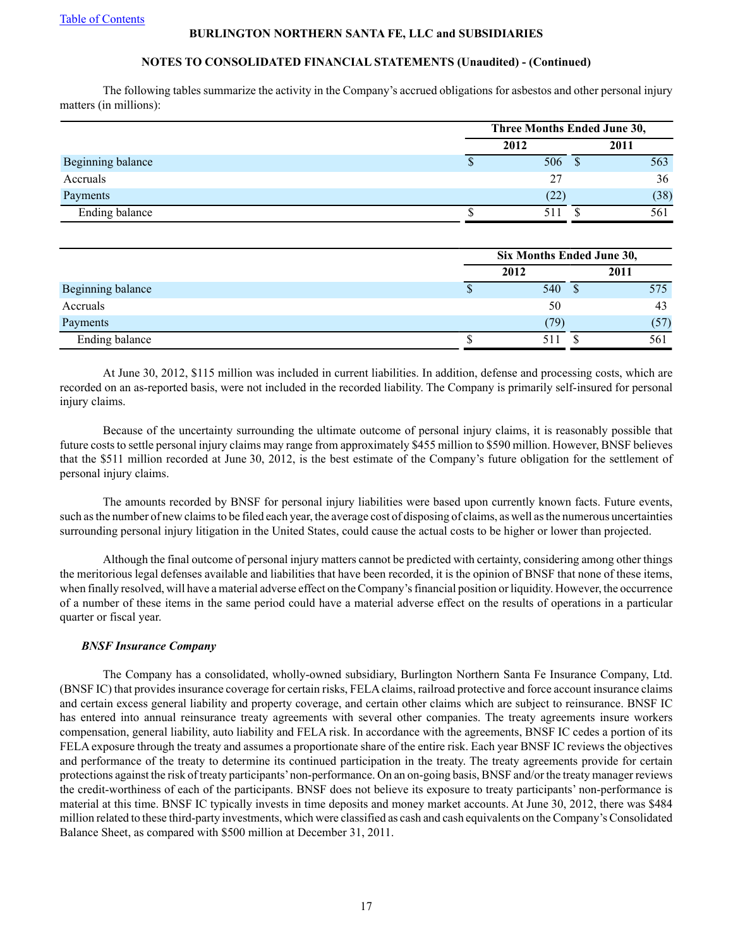## **NOTES TO CONSOLIDATED FINANCIAL STATEMENTS (Unaudited) - (Continued)**

The following tables summarize the activity in the Company's accrued obligations for asbestos and other personal injury matters (in millions):

|                   | Three Months Ended June 30, |  |      |  |  |  |
|-------------------|-----------------------------|--|------|--|--|--|
|                   | 2012                        |  | 2011 |  |  |  |
| Beginning balance | 506                         |  | 563  |  |  |  |
| Accruals          | 27                          |  | 36   |  |  |  |
| Payments          | (22)                        |  | (38) |  |  |  |
| Ending balance    | 511                         |  | 561  |  |  |  |

|                   | Six Months Ended June 30, |      |  |      |  |  |
|-------------------|---------------------------|------|--|------|--|--|
|                   |                           | 2012 |  | 2011 |  |  |
| Beginning balance |                           | 540  |  | 575  |  |  |
| Accruals          |                           | 50   |  | 43   |  |  |
| Payments          |                           | 79)  |  | (57) |  |  |
| Ending balance    |                           |      |  | 561  |  |  |

At June 30, 2012, \$115 million was included in current liabilities. In addition, defense and processing costs, which are recorded on an as-reported basis, were not included in the recorded liability. The Company is primarily self-insured for personal injury claims.

Because of the uncertainty surrounding the ultimate outcome of personal injury claims, it is reasonably possible that future costs to settle personal injury claims may range from approximately \$455 million to \$590 million. However, BNSF believes that the \$511 million recorded at June 30, 2012, is the best estimate of the Company's future obligation for the settlement of personal injury claims.

The amounts recorded by BNSF for personal injury liabilities were based upon currently known facts. Future events, such as the number of new claims to be filed each year, the average cost of disposing of claims, as well as the numerous uncertainties surrounding personal injury litigation in the United States, could cause the actual costs to be higher or lower than projected.

Although the final outcome of personal injury matters cannot be predicted with certainty, considering among other things the meritorious legal defenses available and liabilities that have been recorded, it is the opinion of BNSF that none of these items, when finally resolved, will have a material adverse effect on the Company's financial position or liquidity. However, the occurrence of a number of these items in the same period could have a material adverse effect on the results of operations in a particular quarter or fiscal year.

## *BNSF Insurance Company*

The Company has a consolidated, wholly-owned subsidiary, Burlington Northern Santa Fe Insurance Company, Ltd. (BNSF IC) that provides insurance coverage for certain risks, FELAclaims, railroad protective and force account insurance claims and certain excess general liability and property coverage, and certain other claims which are subject to reinsurance. BNSF IC has entered into annual reinsurance treaty agreements with several other companies. The treaty agreements insure workers compensation, general liability, auto liability and FELA risk. In accordance with the agreements, BNSF IC cedes a portion of its FELA exposure through the treaty and assumes a proportionate share of the entire risk. Each year BNSF IC reviews the objectives and performance of the treaty to determine its continued participation in the treaty. The treaty agreements provide for certain protections against the risk of treaty participants'non-performance. On an on-going basis, BNSF and/or the treaty manager reviews the credit-worthiness of each of the participants. BNSF does not believe its exposure to treaty participants' non-performance is material at this time. BNSF IC typically invests in time deposits and money market accounts. At June 30, 2012, there was \$484 million related to these third-party investments, which were classified as cash and cash equivalents on the Company's Consolidated Balance Sheet, as compared with \$500 million at December 31, 2011.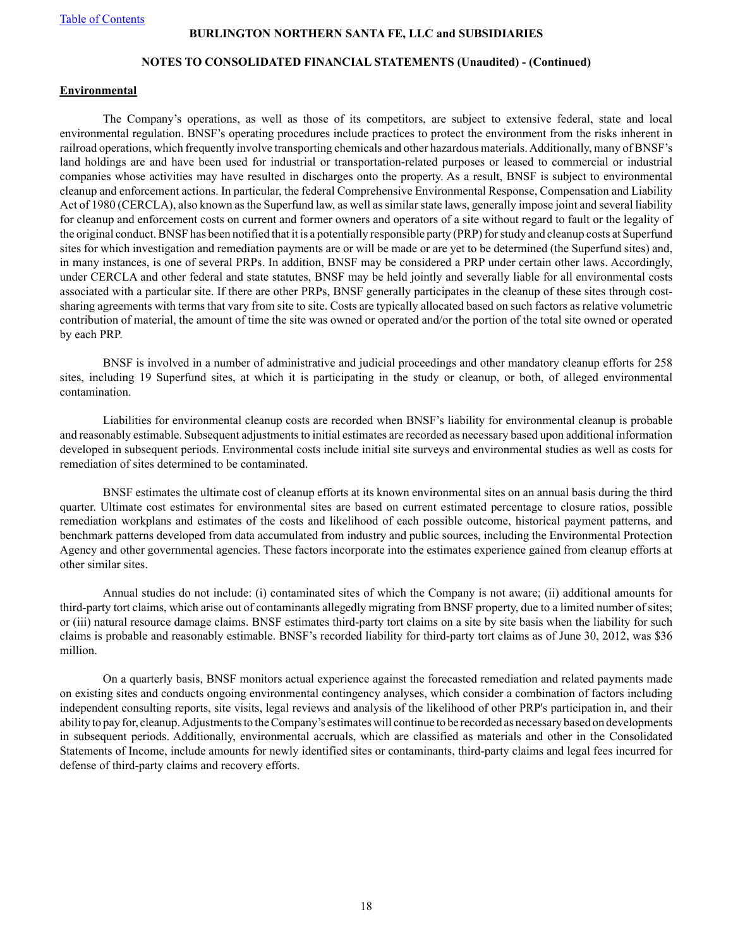#### **NOTES TO CONSOLIDATED FINANCIAL STATEMENTS (Unaudited) - (Continued)**

#### **Environmental**

The Company's operations, as well as those of its competitors, are subject to extensive federal, state and local environmental regulation. BNSF's operating procedures include practices to protect the environment from the risks inherent in railroad operations, which frequently involve transporting chemicals and other hazardous materials. Additionally, many of BNSF's land holdings are and have been used for industrial or transportation-related purposes or leased to commercial or industrial companies whose activities may have resulted in discharges onto the property. As a result, BNSF is subject to environmental cleanup and enforcement actions. In particular, the federal Comprehensive Environmental Response, Compensation and Liability Act of 1980 (CERCLA), also known as the Superfund law, as well as similar state laws, generally impose joint and several liability for cleanup and enforcement costs on current and former owners and operators of a site without regard to fault or the legality of the original conduct. BNSF has been notified that it is a potentially responsible party (PRP) for study and cleanup costs at Superfund sites for which investigation and remediation payments are or will be made or are yet to be determined (the Superfund sites) and, in many instances, is one of several PRPs. In addition, BNSF may be considered a PRP under certain other laws. Accordingly, under CERCLA and other federal and state statutes, BNSF may be held jointly and severally liable for all environmental costs associated with a particular site. If there are other PRPs, BNSF generally participates in the cleanup of these sites through costsharing agreements with terms that vary from site to site. Costs are typically allocated based on such factors as relative volumetric contribution of material, the amount of time the site was owned or operated and/or the portion of the total site owned or operated by each PRP.

BNSF is involved in a number of administrative and judicial proceedings and other mandatory cleanup efforts for 258 sites, including 19 Superfund sites, at which it is participating in the study or cleanup, or both, of alleged environmental contamination.

Liabilities for environmental cleanup costs are recorded when BNSF's liability for environmental cleanup is probable and reasonably estimable. Subsequent adjustments to initial estimates are recorded as necessary based upon additional information developed in subsequent periods. Environmental costs include initial site surveys and environmental studies as well as costs for remediation of sites determined to be contaminated.

BNSF estimates the ultimate cost of cleanup efforts at its known environmental sites on an annual basis during the third quarter. Ultimate cost estimates for environmental sites are based on current estimated percentage to closure ratios, possible remediation workplans and estimates of the costs and likelihood of each possible outcome, historical payment patterns, and benchmark patterns developed from data accumulated from industry and public sources, including the Environmental Protection Agency and other governmental agencies. These factors incorporate into the estimates experience gained from cleanup efforts at other similar sites.

Annual studies do not include: (i) contaminated sites of which the Company is not aware; (ii) additional amounts for third-party tort claims, which arise out of contaminants allegedly migrating from BNSF property, due to a limited number of sites; or (iii) natural resource damage claims. BNSF estimates third-party tort claims on a site by site basis when the liability for such claims is probable and reasonably estimable. BNSF's recorded liability for third-party tort claims as of June 30, 2012, was \$36 million.

On a quarterly basis, BNSF monitors actual experience against the forecasted remediation and related payments made on existing sites and conducts ongoing environmental contingency analyses, which consider a combination of factors including independent consulting reports, site visits, legal reviews and analysis of the likelihood of other PRP's participation in, and their ability to pay for, cleanup. Adjustments to the Company's estimates will continue to be recorded as necessary based on developments in subsequent periods. Additionally, environmental accruals, which are classified as materials and other in the Consolidated Statements of Income, include amounts for newly identified sites or contaminants, third-party claims and legal fees incurred for defense of third-party claims and recovery efforts.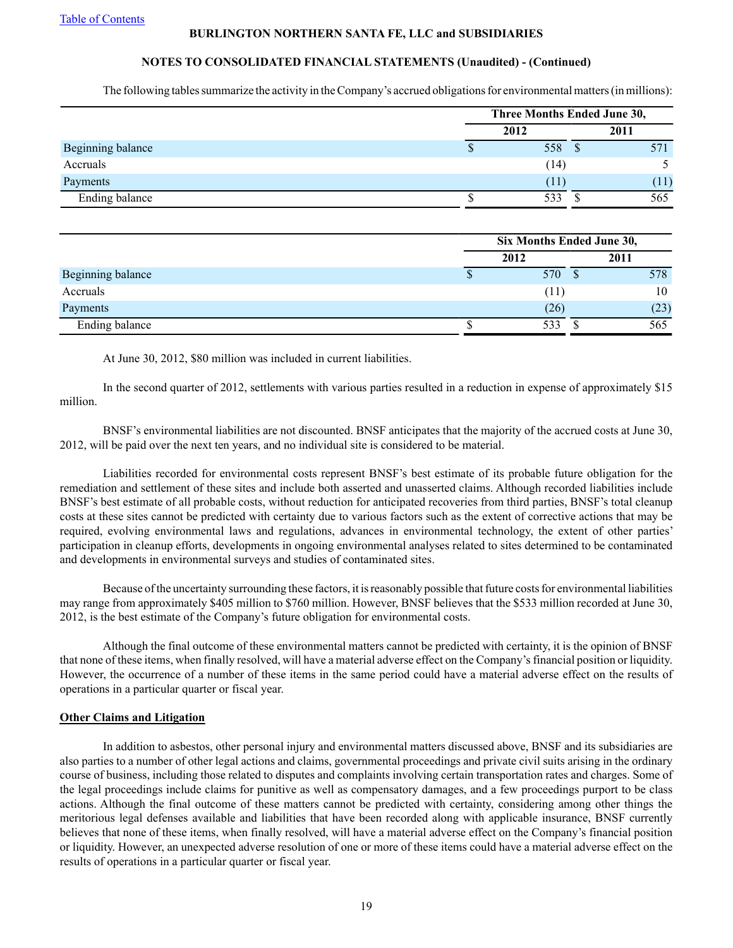## **NOTES TO CONSOLIDATED FINANCIAL STATEMENTS (Unaudited) - (Continued)**

The following tables summarize the activity in the Company's accrued obligations for environmental matters (in millions):

|                   | Three Months Ended June 30, |  |      |  |  |
|-------------------|-----------------------------|--|------|--|--|
|                   | 2012                        |  | 2011 |  |  |
| Beginning balance | 558                         |  | 571  |  |  |
| Accruals          | (14)                        |  |      |  |  |
| Payments          | (11)                        |  | (11) |  |  |
| Ending balance    | 533                         |  | 565  |  |  |

|                   |   | Six Months Ended June 30, |  |      |  |  |  |
|-------------------|---|---------------------------|--|------|--|--|--|
|                   |   | 2012                      |  | 2011 |  |  |  |
| Beginning balance | Φ | 570                       |  | 578  |  |  |  |
| Accruals          |   | (11)                      |  | 10   |  |  |  |
| Payments          |   | (26)                      |  | (23) |  |  |  |
| Ending balance    |   | 533                       |  | 565  |  |  |  |

At June 30, 2012, \$80 million was included in current liabilities.

In the second quarter of 2012, settlements with various parties resulted in a reduction in expense of approximately \$15 million.

BNSF's environmental liabilities are not discounted. BNSF anticipates that the majority of the accrued costs at June 30, 2012, will be paid over the next ten years, and no individual site is considered to be material.

Liabilities recorded for environmental costs represent BNSF's best estimate of its probable future obligation for the remediation and settlement of these sites and include both asserted and unasserted claims. Although recorded liabilities include BNSF's best estimate of all probable costs, without reduction for anticipated recoveries from third parties, BNSF's total cleanup costs at these sites cannot be predicted with certainty due to various factors such as the extent of corrective actions that may be required, evolving environmental laws and regulations, advances in environmental technology, the extent of other parties' participation in cleanup efforts, developments in ongoing environmental analyses related to sites determined to be contaminated and developments in environmental surveys and studies of contaminated sites.

Because of the uncertainty surrounding these factors, it is reasonably possible that future costs for environmental liabilities may range from approximately \$405 million to \$760 million. However, BNSF believes that the \$533 million recorded at June 30, 2012, is the best estimate of the Company's future obligation for environmental costs.

Although the final outcome of these environmental matters cannot be predicted with certainty, it is the opinion of BNSF that none of these items, when finally resolved, will have a material adverse effect on the Company's financial position or liquidity. However, the occurrence of a number of these items in the same period could have a material adverse effect on the results of operations in a particular quarter or fiscal year.

#### **Other Claims and Litigation**

In addition to asbestos, other personal injury and environmental matters discussed above, BNSF and its subsidiaries are also parties to a number of other legal actions and claims, governmental proceedings and private civil suits arising in the ordinary course of business, including those related to disputes and complaints involving certain transportation rates and charges. Some of the legal proceedings include claims for punitive as well as compensatory damages, and a few proceedings purport to be class actions. Although the final outcome of these matters cannot be predicted with certainty, considering among other things the meritorious legal defenses available and liabilities that have been recorded along with applicable insurance, BNSF currently believes that none of these items, when finally resolved, will have a material adverse effect on the Company's financial position or liquidity. However, an unexpected adverse resolution of one or more of these items could have a material adverse effect on the results of operations in a particular quarter or fiscal year.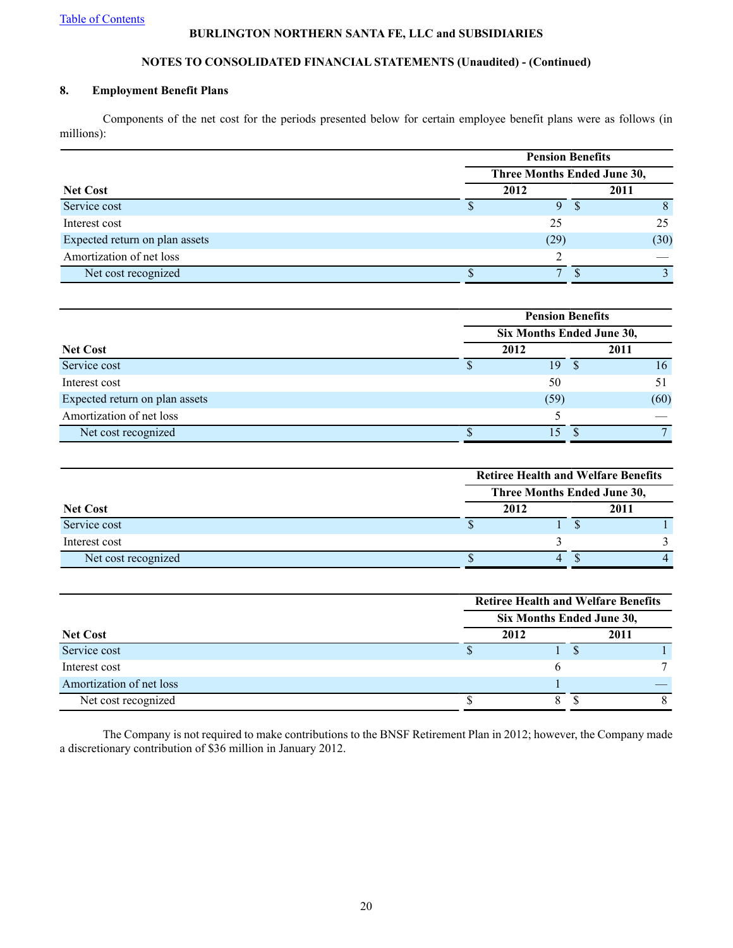## **NOTES TO CONSOLIDATED FINANCIAL STATEMENTS (Unaudited) - (Continued)**

## **8. Employment Benefit Plans**

Components of the net cost for the periods presented below for certain employee benefit plans were as follows (in millions):

| <b>Net Cost</b>                | <b>Pension Benefits</b>     |  |      |  |  |  |
|--------------------------------|-----------------------------|--|------|--|--|--|
|                                | Three Months Ended June 30, |  |      |  |  |  |
|                                | 2012                        |  | 2011 |  |  |  |
| Service cost                   |                             |  |      |  |  |  |
| Interest cost                  | 25                          |  | 25   |  |  |  |
| Expected return on plan assets | (29)                        |  | (30) |  |  |  |
| Amortization of net loss       |                             |  |      |  |  |  |
| Net cost recognized            | −                           |  |      |  |  |  |

| <b>Pension Benefits</b> |      |  |                           |  |  |
|-------------------------|------|--|---------------------------|--|--|
|                         |      |  |                           |  |  |
|                         | 2012 |  | 2011                      |  |  |
|                         | 19   |  | 16                        |  |  |
|                         | 50   |  |                           |  |  |
|                         | (59) |  | (60)                      |  |  |
|                         |      |  |                           |  |  |
|                         | 5    |  |                           |  |  |
|                         |      |  | Six Months Ended June 30, |  |  |

|                     | <b>Retiree Health and Welfare Benefits</b> |      |  |      |  |  |  |
|---------------------|--------------------------------------------|------|--|------|--|--|--|
|                     | Three Months Ended June 30,                |      |  |      |  |  |  |
| <b>Net Cost</b>     |                                            | 2012 |  | 2011 |  |  |  |
| Service cost        |                                            |      |  |      |  |  |  |
| Interest cost       |                                            |      |  |      |  |  |  |
| Net cost recognized |                                            |      |  |      |  |  |  |

|                          |                           | <b>Retiree Health and Welfare Benefits</b> |  |      |  |  |  |
|--------------------------|---------------------------|--------------------------------------------|--|------|--|--|--|
|                          | Six Months Ended June 30, |                                            |  |      |  |  |  |
| <b>Net Cost</b>          |                           | 2012                                       |  | 2011 |  |  |  |
| Service cost             |                           |                                            |  |      |  |  |  |
| Interest cost            |                           |                                            |  |      |  |  |  |
| Amortization of net loss |                           |                                            |  |      |  |  |  |
| Net cost recognized      |                           |                                            |  |      |  |  |  |

The Company is not required to make contributions to the BNSF Retirement Plan in 2012; however, the Company made a discretionary contribution of \$36 million in January 2012.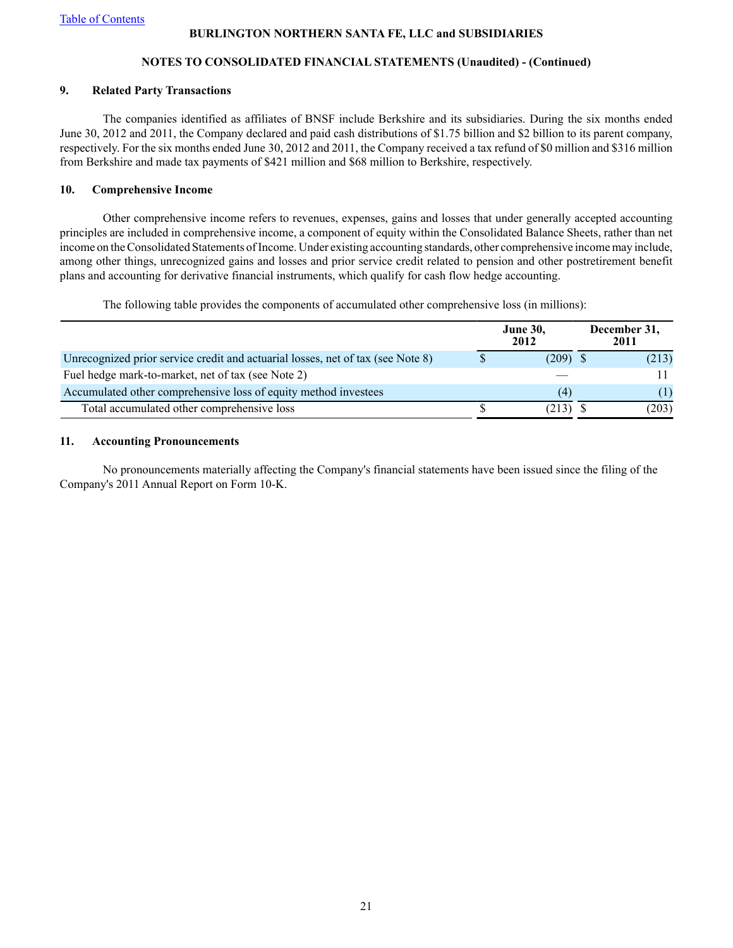## **NOTES TO CONSOLIDATED FINANCIAL STATEMENTS (Unaudited) - (Continued)**

### **9. Related Party Transactions**

The companies identified as affiliates of BNSF include Berkshire and its subsidiaries. During the six months ended June 30, 2012 and 2011, the Company declared and paid cash distributions of \$1.75 billion and \$2 billion to its parent company, respectively. For the six months ended June 30, 2012 and 2011, the Company received a tax refund of \$0 million and \$316 million from Berkshire and made tax payments of \$421 million and \$68 million to Berkshire, respectively.

## **10. Comprehensive Income**

Other comprehensive income refers to revenues, expenses, gains and losses that under generally accepted accounting principles are included in comprehensive income, a component of equity within the Consolidated Balance Sheets, rather than net income on the Consolidated Statements of Income. Under existing accounting standards, other comprehensive income may include, among other things, unrecognized gains and losses and prior service credit related to pension and other postretirement benefit plans and accounting for derivative financial instruments, which qualify for cash flow hedge accounting.

The following table provides the components of accumulated other comprehensive loss (in millions):

|                                                                                 | <b>June 30,</b><br>2012 | December 31,<br>2011 |
|---------------------------------------------------------------------------------|-------------------------|----------------------|
| Unrecognized prior service credit and actuarial losses, net of tax (see Note 8) | $(209)$ \$              | (213)                |
| Fuel hedge mark-to-market, net of tax (see Note 2)                              |                         |                      |
| Accumulated other comprehensive loss of equity method investees                 | (4)                     | (1)                  |
| Total accumulated other comprehensive loss                                      | $(213)$ \$              | (203)                |

## **11. Accounting Pronouncements**

No pronouncements materially affecting the Company's financial statements have been issued since the filing of the Company's 2011 Annual Report on Form 10-K.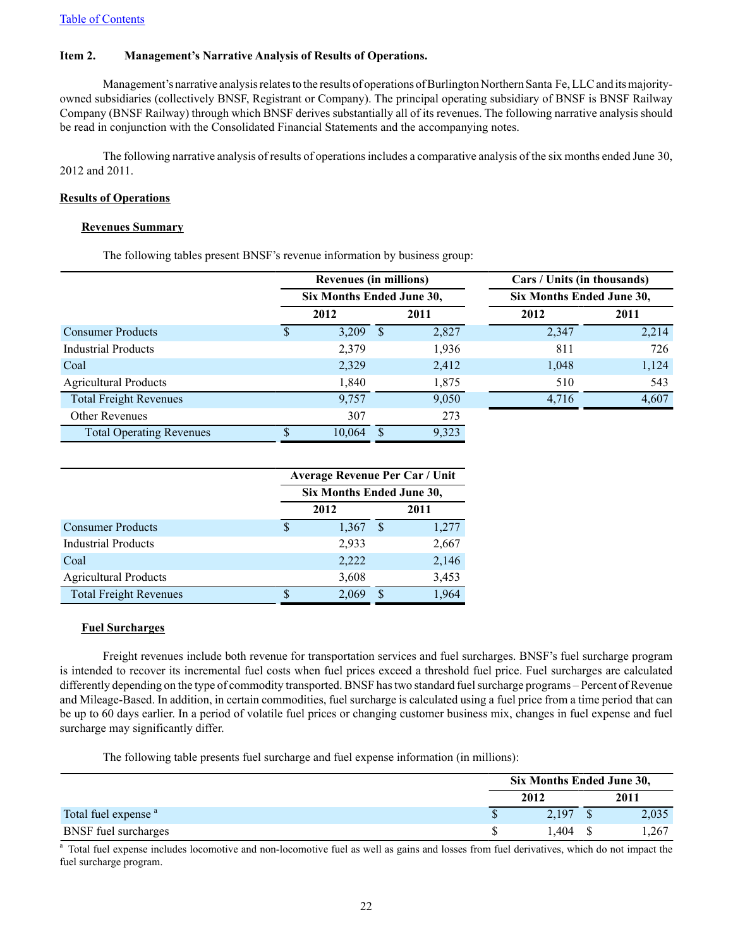#### <span id="page-21-0"></span>**Item 2. Management's Narrative Analysis of Results of Operations.**

Management's narrative analysis relates to the results of operations of Burlington Northern Santa Fe, LLC and its majorityowned subsidiaries (collectively BNSF, Registrant or Company). The principal operating subsidiary of BNSF is BNSF Railway Company (BNSF Railway) through which BNSF derives substantially all of its revenues. The following narrative analysis should be read in conjunction with the Consolidated Financial Statements and the accompanying notes.

The following narrative analysis of results of operations includes a comparative analysis of the six months ended June 30, 2012 and 2011.

#### **Results of Operations**

#### **Revenues Summary**

The following tables present BNSF's revenue information by business group:

|                                 |  | <b>Revenues (in millions)</b><br>Six Months Ended June 30, |  |       | Cars / Units (in thousands) |       |  |  |
|---------------------------------|--|------------------------------------------------------------|--|-------|-----------------------------|-------|--|--|
|                                 |  |                                                            |  |       | Six Months Ended June 30,   |       |  |  |
|                                 |  | 2012                                                       |  | 2011  | 2012                        | 2011  |  |  |
| <b>Consumer Products</b>        |  | 3,209                                                      |  | 2,827 | 2,347                       | 2,214 |  |  |
| <b>Industrial Products</b>      |  | 2,379                                                      |  | 1,936 | 811                         | 726   |  |  |
| Coal                            |  | 2,329                                                      |  | 2,412 | 1,048                       | 1,124 |  |  |
| <b>Agricultural Products</b>    |  | 1,840                                                      |  | 1,875 | 510                         | 543   |  |  |
| <b>Total Freight Revenues</b>   |  | 9.757                                                      |  | 9,050 | 4,716                       | 4,607 |  |  |
| <b>Other Revenues</b>           |  | 307                                                        |  | 273   |                             |       |  |  |
| <b>Total Operating Revenues</b> |  | 10.064                                                     |  | 9,323 |                             |       |  |  |

|                               | <b>Average Revenue Per Car / Unit</b> |                           |   |       |  |  |
|-------------------------------|---------------------------------------|---------------------------|---|-------|--|--|
|                               |                                       | Six Months Ended June 30, |   |       |  |  |
|                               |                                       | 2012                      |   | 2011  |  |  |
| <b>Consumer Products</b>      | S                                     | 1,367                     | S | 1,277 |  |  |
| <b>Industrial Products</b>    |                                       | 2,933                     |   | 2,667 |  |  |
| Coal                          |                                       | 2,222                     |   | 2,146 |  |  |
| <b>Agricultural Products</b>  |                                       | 3,608                     |   | 3,453 |  |  |
| <b>Total Freight Revenues</b> |                                       | 2.069                     | S | 1,964 |  |  |

#### **Fuel Surcharges**

Freight revenues include both revenue for transportation services and fuel surcharges. BNSF's fuel surcharge program is intended to recover its incremental fuel costs when fuel prices exceed a threshold fuel price. Fuel surcharges are calculated differently depending on the type of commodity transported. BNSF has two standard fuel surcharge programs – Percent of Revenue and Mileage-Based. In addition, in certain commodities, fuel surcharge is calculated using a fuel price from a time period that can be up to 60 days earlier. In a period of volatile fuel prices or changing customer business mix, changes in fuel expense and fuel surcharge may significantly differ.

The following table presents fuel surcharge and fuel expense information (in millions):

|                                 | Six Months Ended June 30, |  |       |  |
|---------------------------------|---------------------------|--|-------|--|
|                                 | 2012                      |  | 2011  |  |
| Total fuel expense <sup>a</sup> | 2.197                     |  | 2,035 |  |
| <b>BNSF</b> fuel surcharges     | .404                      |  | 267,، |  |

<sup>a</sup> Total fuel expense includes locomotive and non-locomotive fuel as well as gains and losses from fuel derivatives, which do not impact the fuel surcharge program.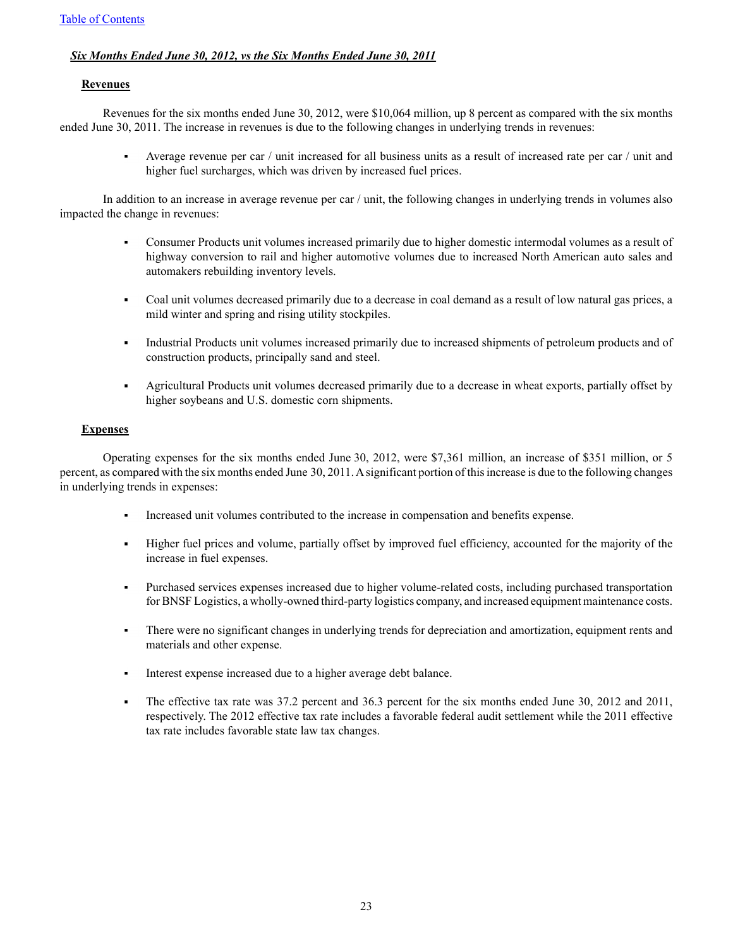## *Six Months Ended June 30, 2012, vs the Six Months Ended June 30, 2011*

#### **Revenues**

Revenues for the six months ended June 30, 2012, were \$10,064 million, up 8 percent as compared with the six months ended June 30, 2011. The increase in revenues is due to the following changes in underlying trends in revenues:

> Average revenue per car / unit increased for all business units as a result of increased rate per car / unit and higher fuel surcharges, which was driven by increased fuel prices.

In addition to an increase in average revenue per car / unit, the following changes in underlying trends in volumes also impacted the change in revenues:

- Consumer Products unit volumes increased primarily due to higher domestic intermodal volumes as a result of highway conversion to rail and higher automotive volumes due to increased North American auto sales and automakers rebuilding inventory levels.
- Coal unit volumes decreased primarily due to a decrease in coal demand as a result of low natural gas prices, a  $\blacksquare$ mild winter and spring and rising utility stockpiles.
- Industrial Products unit volumes increased primarily due to increased shipments of petroleum products and of construction products, principally sand and steel.
- Agricultural Products unit volumes decreased primarily due to a decrease in wheat exports, partially offset by higher soybeans and U.S. domestic corn shipments.

## **Expenses**

Operating expenses for the six months ended June 30, 2012, were \$7,361 million, an increase of \$351 million, or 5 percent, as compared with the six months ended June 30, 2011. Asignificant portion of this increase is due to the following changes in underlying trends in expenses:

- Increased unit volumes contributed to the increase in compensation and benefits expense.
- Higher fuel prices and volume, partially offset by improved fuel efficiency, accounted for the majority of the increase in fuel expenses.
- Purchased services expenses increased due to higher volume-related costs, including purchased transportation for BNSF Logistics, a wholly-owned third-party logistics company, and increased equipment maintenance costs.
- There were no significant changes in underlying trends for depreciation and amortization, equipment rents and  $\blacksquare$ materials and other expense.
- Interest expense increased due to a higher average debt balance.
- The effective tax rate was 37.2 percent and 36.3 percent for the six months ended June 30, 2012 and 2011, respectively. The 2012 effective tax rate includes a favorable federal audit settlement while the 2011 effective tax rate includes favorable state law tax changes.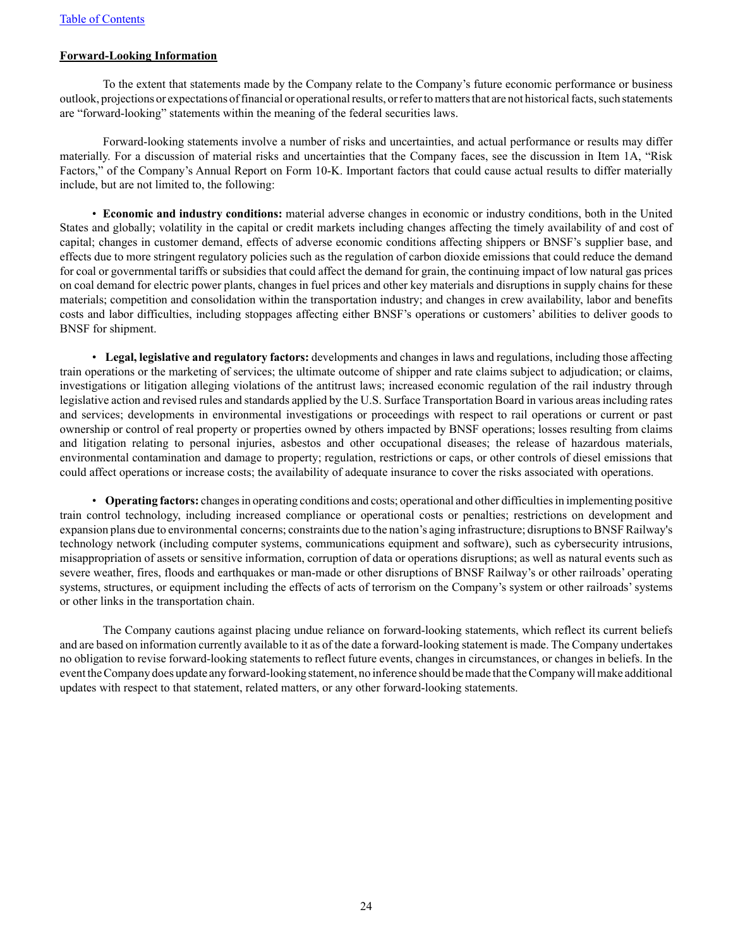#### **Forward-Looking Information**

To the extent that statements made by the Company relate to the Company's future economic performance or business outlook, projections or expectations of financial or operational results, or refer to matters that are not historical facts, such statements are "forward-looking" statements within the meaning of the federal securities laws.

Forward-looking statements involve a number of risks and uncertainties, and actual performance or results may differ materially. For a discussion of material risks and uncertainties that the Company faces, see the discussion in Item 1A, "Risk Factors," of the Company's Annual Report on Form 10-K. Important factors that could cause actual results to differ materially include, but are not limited to, the following:

• **Economic and industry conditions:** material adverse changes in economic or industry conditions, both in the United States and globally; volatility in the capital or credit markets including changes affecting the timely availability of and cost of capital; changes in customer demand, effects of adverse economic conditions affecting shippers or BNSF's supplier base, and effects due to more stringent regulatory policies such as the regulation of carbon dioxide emissions that could reduce the demand for coal or governmental tariffs or subsidies that could affect the demand for grain, the continuing impact of low natural gas prices on coal demand for electric power plants, changes in fuel prices and other key materials and disruptions in supply chains for these materials; competition and consolidation within the transportation industry; and changes in crew availability, labor and benefits costs and labor difficulties, including stoppages affecting either BNSF's operations or customers' abilities to deliver goods to BNSF for shipment.

• **Legal, legislative and regulatory factors:** developments and changes in laws and regulations, including those affecting train operations or the marketing of services; the ultimate outcome of shipper and rate claims subject to adjudication; or claims, investigations or litigation alleging violations of the antitrust laws; increased economic regulation of the rail industry through legislative action and revised rules and standards applied by the U.S. Surface Transportation Board in various areas including rates and services; developments in environmental investigations or proceedings with respect to rail operations or current or past ownership or control of real property or properties owned by others impacted by BNSF operations; losses resulting from claims and litigation relating to personal injuries, asbestos and other occupational diseases; the release of hazardous materials, environmental contamination and damage to property; regulation, restrictions or caps, or other controls of diesel emissions that could affect operations or increase costs; the availability of adequate insurance to cover the risks associated with operations.

• **Operating factors:** changes in operating conditions and costs; operational and other difficulties in implementing positive train control technology, including increased compliance or operational costs or penalties; restrictions on development and expansion plans due to environmental concerns; constraints due to the nation's aging infrastructure; disruptions to BNSF Railway's technology network (including computer systems, communications equipment and software), such as cybersecurity intrusions, misappropriation of assets or sensitive information, corruption of data or operations disruptions; as well as natural events such as severe weather, fires, floods and earthquakes or man-made or other disruptions of BNSF Railway's or other railroads' operating systems, structures, or equipment including the effects of acts of terrorism on the Company's system or other railroads'systems or other links in the transportation chain.

The Company cautions against placing undue reliance on forward-looking statements, which reflect its current beliefs and are based on information currently available to it as of the date a forward-looking statement is made. The Company undertakes no obligation to revise forward-looking statements to reflect future events, changes in circumstances, or changes in beliefs. In the event the Company does update any forward-looking statement, no inference should be made that the Company will make additional updates with respect to that statement, related matters, or any other forward-looking statements.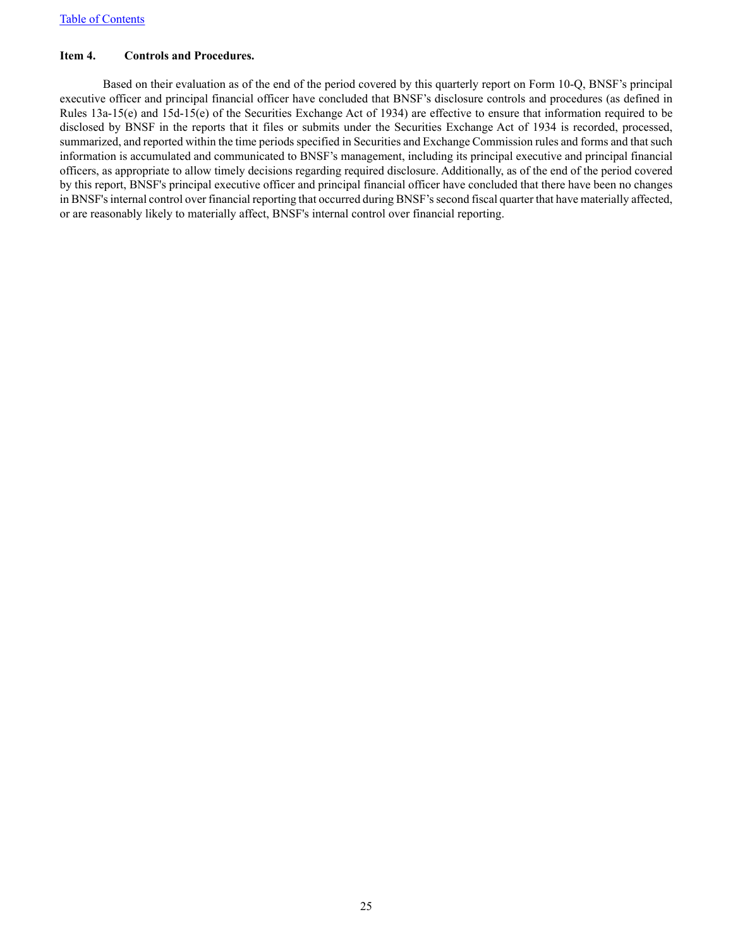## <span id="page-24-0"></span>**Item 4. Controls and Procedures.**

Based on their evaluation as of the end of the period covered by this quarterly report on Form 10-Q, BNSF's principal executive officer and principal financial officer have concluded that BNSF's disclosure controls and procedures (as defined in Rules 13a-15(e) and 15d-15(e) of the Securities Exchange Act of 1934) are effective to ensure that information required to be disclosed by BNSF in the reports that it files or submits under the Securities Exchange Act of 1934 is recorded, processed, summarized, and reported within the time periods specified in Securities and Exchange Commission rules and forms and that such information is accumulated and communicated to BNSF's management, including its principal executive and principal financial officers, as appropriate to allow timely decisions regarding required disclosure. Additionally, as of the end of the period covered by this report, BNSF's principal executive officer and principal financial officer have concluded that there have been no changes in BNSF's internal control over financial reporting that occurred during BNSF's second fiscal quarter that have materially affected, or are reasonably likely to materially affect, BNSF's internal control over financial reporting.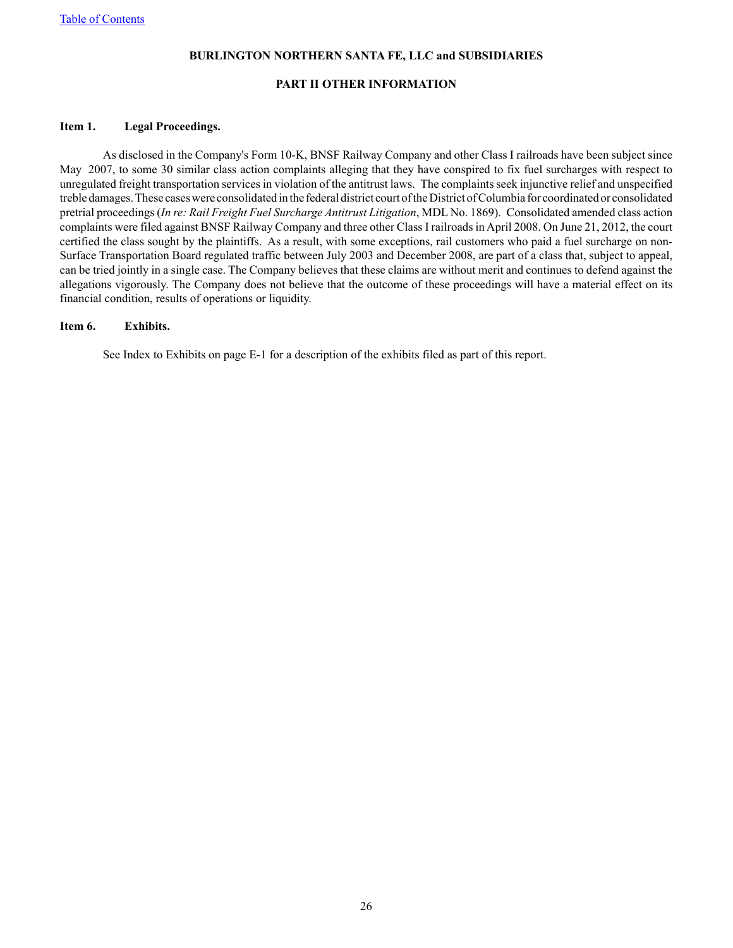#### **PART II OTHER INFORMATION**

#### <span id="page-25-0"></span>**Item 1. Legal Proceedings.**

As disclosed in the Company's Form 10-K, BNSF Railway Company and other Class I railroads have been subject since May 2007, to some 30 similar class action complaints alleging that they have conspired to fix fuel surcharges with respect to unregulated freight transportation services in violation of the antitrust laws. The complaints seek injunctive relief and unspecified treble damages. These cases were consolidated in the federal district court of the District of Columbia for coordinated or consolidated pretrial proceedings (*In re: Rail Freight Fuel Surcharge Antitrust Litigation*, MDL No. 1869). Consolidated amended class action complaints were filed against BNSF Railway Company and three other Class I railroads in April 2008. On June 21, 2012, the court certified the class sought by the plaintiffs. As a result, with some exceptions, rail customers who paid a fuel surcharge on non-Surface Transportation Board regulated traffic between July 2003 and December 2008, are part of a class that, subject to appeal, can be tried jointly in a single case. The Company believes that these claims are without merit and continues to defend against the allegations vigorously. The Company does not believe that the outcome of these proceedings will have a material effect on its financial condition, results of operations or liquidity.

#### <span id="page-25-1"></span>**Item 6. Exhibits.**

See Index to Exhibits on page E-1 for a description of the exhibits filed as part of this report.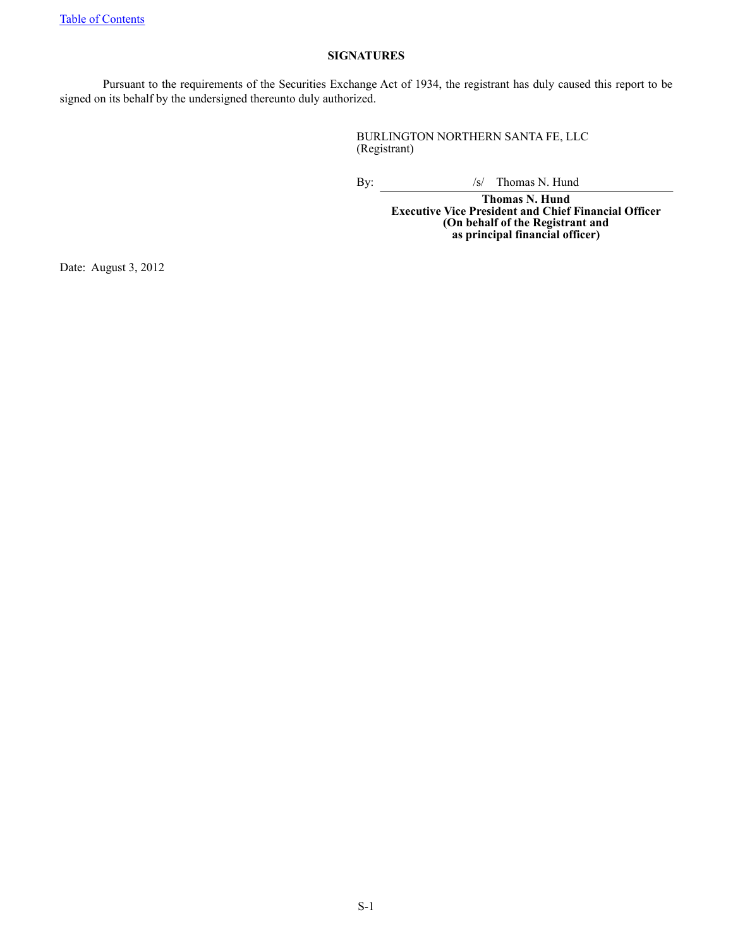## **SIGNATURES**

<span id="page-26-0"></span>Pursuant to the requirements of the Securities Exchange Act of 1934, the registrant has duly caused this report to be signed on its behalf by the undersigned thereunto duly authorized.

> BURLINGTON NORTHERN SANTA FE, LLC (Registrant)

By:  $\frac{1}{s}$  Thomas N. Hund

**Thomas N. Hund Executive Vice President and Chief Financial Officer (On behalf of the Registrant and as principal financial officer)**

Date: August 3, 2012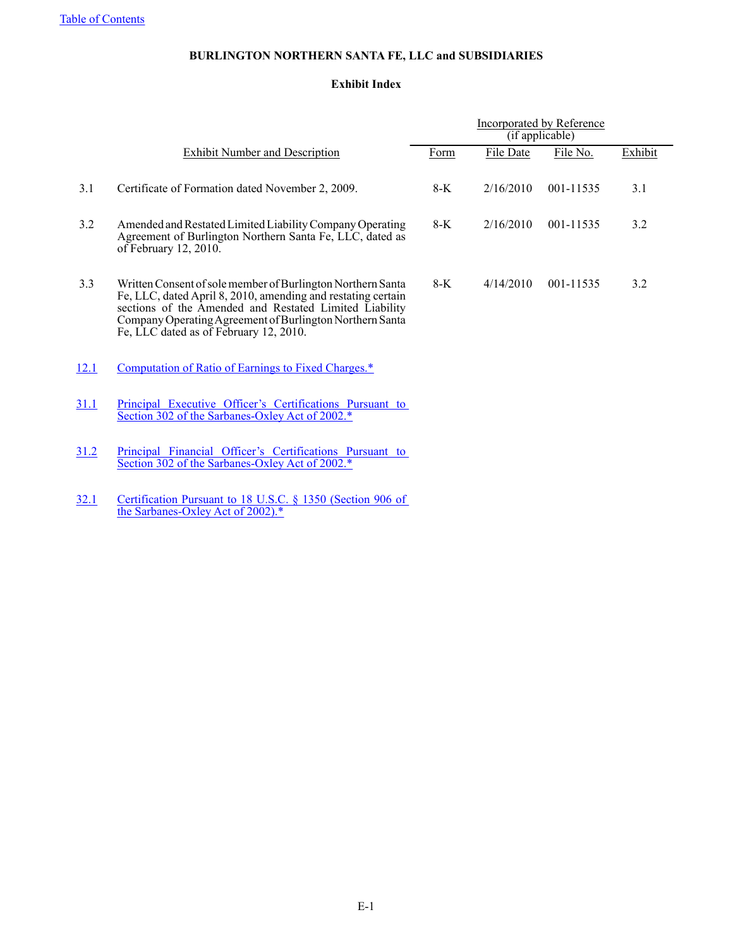## **Exhibit Index**

<span id="page-27-0"></span>

|      |                                                                                                                                                                                                                                                                                             | <b>Incorporated by Reference</b><br>(if applicable) |           |           |         |
|------|---------------------------------------------------------------------------------------------------------------------------------------------------------------------------------------------------------------------------------------------------------------------------------------------|-----------------------------------------------------|-----------|-----------|---------|
|      | <b>Exhibit Number and Description</b>                                                                                                                                                                                                                                                       | Form                                                | File Date | File No.  | Exhibit |
| 3.1  | Certificate of Formation dated November 2, 2009.                                                                                                                                                                                                                                            | $8-K$                                               | 2/16/2010 | 001-11535 | 3.1     |
| 3.2  | Amended and Restated Limited Liability Company Operating<br>Agreement of Burlington Northern Santa Fe, LLC, dated as<br>of February 12, 2010.                                                                                                                                               | $8-K$                                               | 2/16/2010 | 001-11535 | 3.2     |
| 3.3  | Written Consent of sole member of Burlington Northern Santa<br>Fe, LLC, dated April 8, 2010, amending and restating certain<br>sections of the Amended and Restated Limited Liability<br>Company Operating Agreement of Burlington Northern Santa<br>Fe, LLC dated as of February 12, 2010. | $8-K$                                               | 4/14/2010 | 001-11535 | 3.2     |
| 12.1 | Computation of Ratio of Earnings to Fixed Charges.*                                                                                                                                                                                                                                         |                                                     |           |           |         |
| 31.1 | Principal Executive Officer's Certifications Pursuant to<br>Section 302 of the Sarbanes-Oxley Act of 2002.*                                                                                                                                                                                 |                                                     |           |           |         |
| 31.2 | Principal Financial Officer's Certifications Pursuant to<br>Section 302 of the Sarbanes-Oxley Act of 2002.*                                                                                                                                                                                 |                                                     |           |           |         |
| 32.1 | Certification Pursuant to 18 U.S.C. § 1350 (Section 906 of<br>the Sarbanes-Oxley Act of 2002).*                                                                                                                                                                                             |                                                     |           |           |         |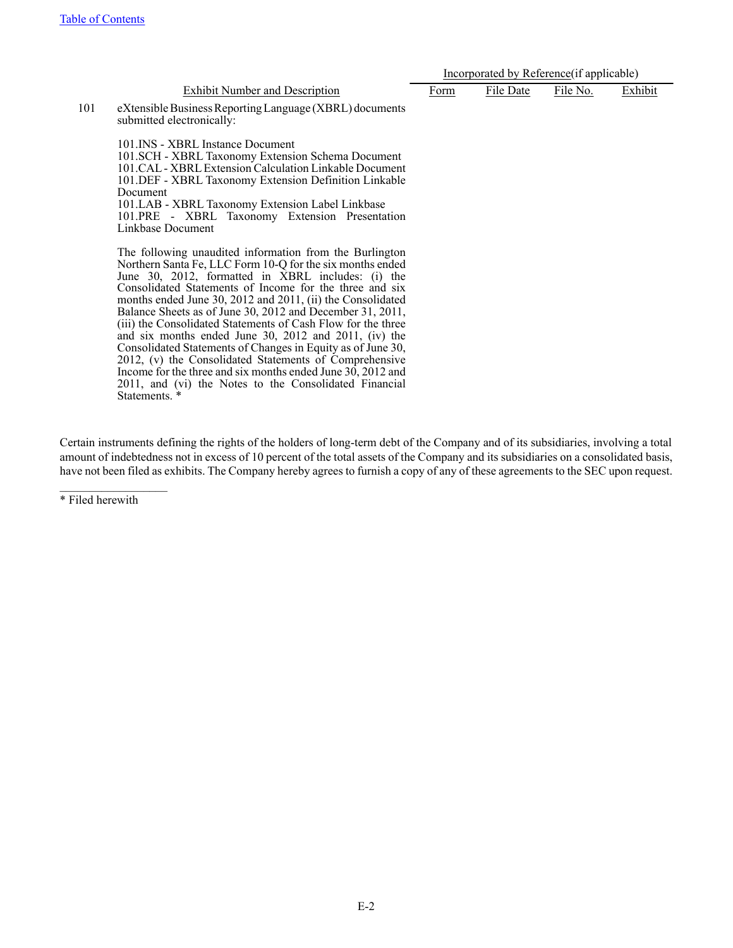| <b>Exhibit Number and Description</b> |  |
|---------------------------------------|--|
|                                       |  |

|                                       | Incorporated by Reference (if applicable) |           |          |         |  |
|---------------------------------------|-------------------------------------------|-----------|----------|---------|--|
| <b>Exhibit Number and Description</b> | <sup>G</sup> orm                          | File Date | File No. | Exhibit |  |

101 eXtensible Business Reporting Language (XBRL) documents submitted electronically:

> 101.INS - XBRL Instance Document 101.SCH - XBRL Taxonomy Extension Schema Document 101.CAL- XBRLExtension Calculation Linkable Document 101.DEF - XBRL Taxonomy Extension Definition Linkable Document 101.LAB - XBRL Taxonomy Extension Label Linkbase 101.PRE - XBRL Taxonomy Extension Presentation Linkbase Document

> The following unaudited information from the Burlington Northern Santa Fe, LLC Form 10-Q for the six months ended June 30, 2012, formatted in XBRL includes: (i) the Consolidated Statements of Income for the three and six months ended June 30, 2012 and 2011, (ii) the Consolidated Balance Sheets as of June 30, 2012 and December 31, 2011, (iii) the Consolidated Statements of Cash Flow for the three and six months ended June 30, 2012 and 2011, (iv) the Consolidated Statements of Changes in Equity as of June 30, 2012, (v) the Consolidated Statements of Comprehensive Income for the three and six months ended June 30, 2012 and 2011, and (vi) the Notes to the Consolidated Financial Statements. \*

Certain instruments defining the rights of the holders of long-term debt of the Company and of its subsidiaries, involving a total amount of indebtedness not in excess of 10 percent of the total assets of the Company and its subsidiaries on a consolidated basis, have not been filed as exhibits. The Company hereby agrees to furnish a copy of any of these agreements to the SEC upon request.

\* Filed herewith

 $\mathcal{L}_\text{max}$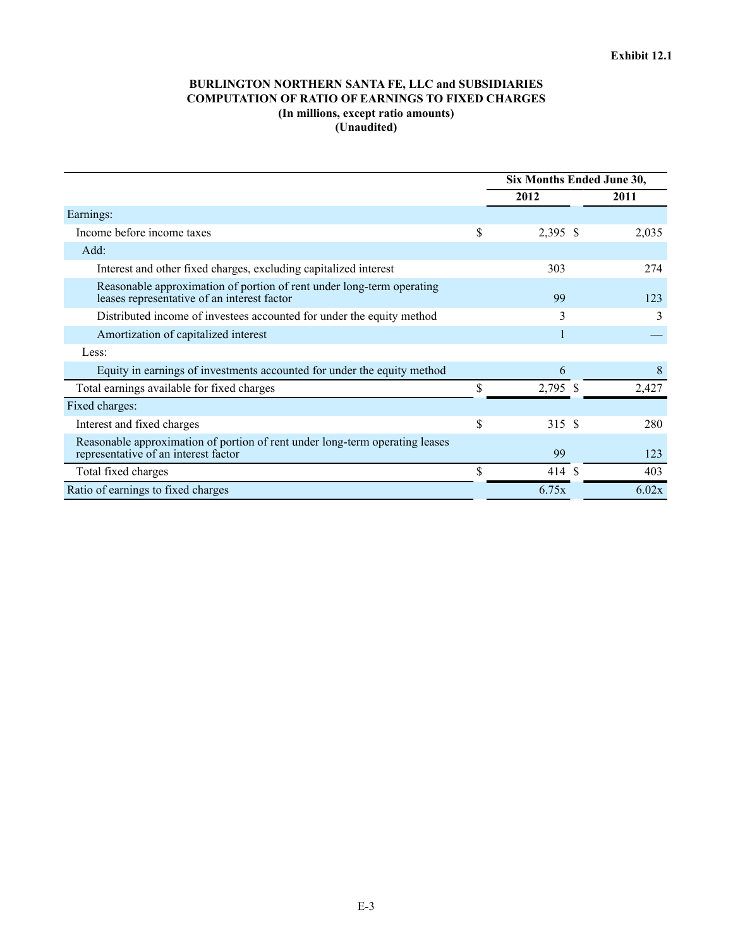## **BURLINGTON NORTHERN SANTA FE, LLC and SUBSIDIARIES COMPUTATION OF RATIO OF EARNINGS TO FIXED CHARGES (In millions, except ratio amounts) (Unaudited)**

<span id="page-29-0"></span>

|                                                                                                                      | Six Months Ended June 30, |       |  |
|----------------------------------------------------------------------------------------------------------------------|---------------------------|-------|--|
|                                                                                                                      | 2012                      | 2011  |  |
| Earnings:                                                                                                            |                           |       |  |
| Income before income taxes                                                                                           | \$<br>2,395 \$            | 2,035 |  |
| Add:                                                                                                                 |                           |       |  |
| Interest and other fixed charges, excluding capitalized interest                                                     | 303                       | 274   |  |
| Reasonable approximation of portion of rent under long-term operating<br>leases representative of an interest factor | 99                        | 123   |  |
| Distributed income of investees accounted for under the equity method                                                | 3                         | 3     |  |
| Amortization of capitalized interest                                                                                 |                           |       |  |
| Less:                                                                                                                |                           |       |  |
| Equity in earnings of investments accounted for under the equity method                                              | 6                         | 8     |  |
| Total earnings available for fixed charges                                                                           | \$<br>2,795 \$            | 2,427 |  |
| Fixed charges:                                                                                                       |                           |       |  |
| Interest and fixed charges                                                                                           | \$<br>315 \$              | 280   |  |
| Reasonable approximation of portion of rent under long-term operating leases<br>representative of an interest factor | 99                        | 123   |  |
| Total fixed charges                                                                                                  | \$<br>414 \$              | 403   |  |
| Ratio of earnings to fixed charges                                                                                   | 6.75x                     | 6.02x |  |
|                                                                                                                      |                           |       |  |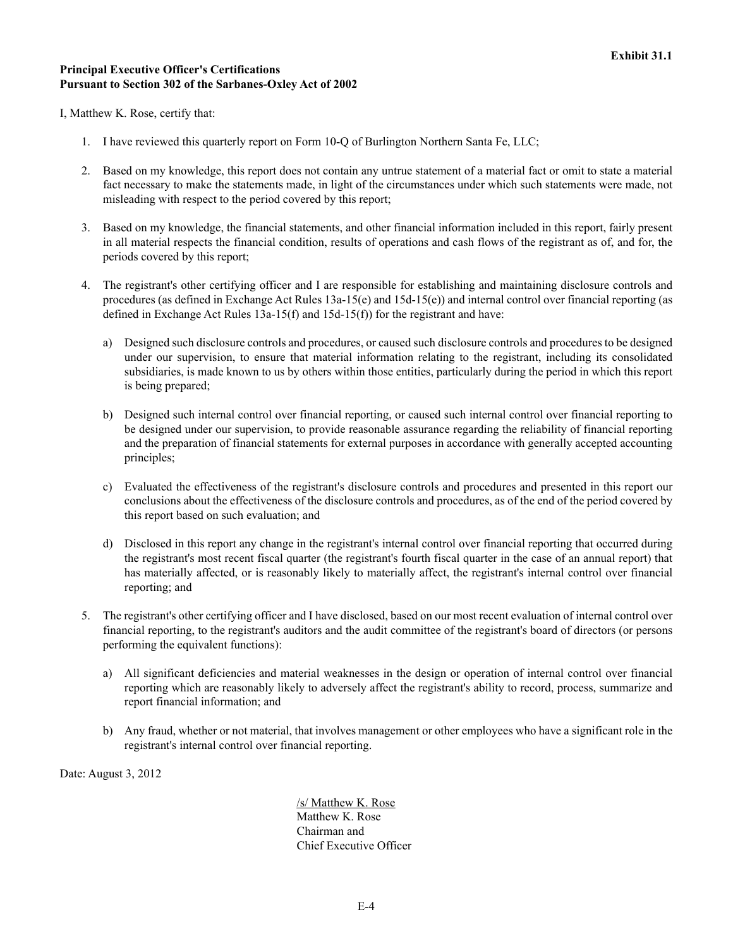## <span id="page-30-0"></span>**Principal Executive Officer's Certifications Pursuant to Section 302 of the Sarbanes-Oxley Act of 2002**

I, Matthew K. Rose, certify that:

- 1. I have reviewed this quarterly report on Form 10-Q of Burlington Northern Santa Fe, LLC;
- 2. Based on my knowledge, this report does not contain any untrue statement of a material fact or omit to state a material fact necessary to make the statements made, in light of the circumstances under which such statements were made, not misleading with respect to the period covered by this report;
- 3. Based on my knowledge, the financial statements, and other financial information included in this report, fairly present in all material respects the financial condition, results of operations and cash flows of the registrant as of, and for, the periods covered by this report;
- 4. The registrant's other certifying officer and I are responsible for establishing and maintaining disclosure controls and procedures (as defined in Exchange Act Rules 13a-15(e) and 15d-15(e)) and internal control over financial reporting (as defined in Exchange Act Rules 13a-15(f) and 15d-15(f)) for the registrant and have:
	- a) Designed such disclosure controls and procedures, or caused such disclosure controls and procedures to be designed under our supervision, to ensure that material information relating to the registrant, including its consolidated subsidiaries, is made known to us by others within those entities, particularly during the period in which this report is being prepared;
	- b) Designed such internal control over financial reporting, or caused such internal control over financial reporting to be designed under our supervision, to provide reasonable assurance regarding the reliability of financial reporting and the preparation of financial statements for external purposes in accordance with generally accepted accounting principles;
	- c) Evaluated the effectiveness of the registrant's disclosure controls and procedures and presented in this report our conclusions about the effectiveness of the disclosure controls and procedures, as of the end of the period covered by this report based on such evaluation; and
	- d) Disclosed in this report any change in the registrant's internal control over financial reporting that occurred during the registrant's most recent fiscal quarter (the registrant's fourth fiscal quarter in the case of an annual report) that has materially affected, or is reasonably likely to materially affect, the registrant's internal control over financial reporting; and
- 5. The registrant's other certifying officer and I have disclosed, based on our most recent evaluation of internal control over financial reporting, to the registrant's auditors and the audit committee of the registrant's board of directors (or persons performing the equivalent functions):
	- a) All significant deficiencies and material weaknesses in the design or operation of internal control over financial reporting which are reasonably likely to adversely affect the registrant's ability to record, process, summarize and report financial information; and
	- b) Any fraud, whether or not material, that involves management or other employees who have a significant role in the registrant's internal control over financial reporting.

Date: August 3, 2012

/s/ Matthew K. Rose Matthew K. Rose Chairman and Chief Executive Officer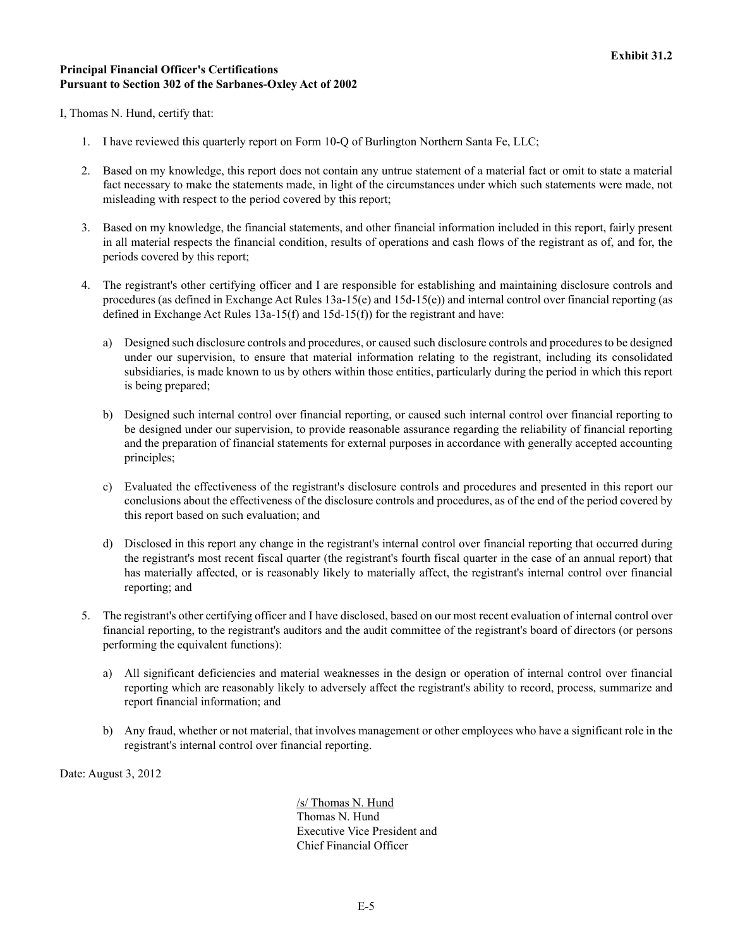## <span id="page-31-0"></span>**Principal Financial Officer's Certifications Pursuant to Section 302 of the Sarbanes-Oxley Act of 2002**

I, Thomas N. Hund, certify that:

- 1. I have reviewed this quarterly report on Form 10-Q of Burlington Northern Santa Fe, LLC;
- 2. Based on my knowledge, this report does not contain any untrue statement of a material fact or omit to state a material fact necessary to make the statements made, in light of the circumstances under which such statements were made, not misleading with respect to the period covered by this report;
- 3. Based on my knowledge, the financial statements, and other financial information included in this report, fairly present in all material respects the financial condition, results of operations and cash flows of the registrant as of, and for, the periods covered by this report;
- 4. The registrant's other certifying officer and I are responsible for establishing and maintaining disclosure controls and procedures (as defined in Exchange Act Rules 13a-15(e) and 15d-15(e)) and internal control over financial reporting (as defined in Exchange Act Rules 13a-15(f) and 15d-15(f)) for the registrant and have:
	- a) Designed such disclosure controls and procedures, or caused such disclosure controls and procedures to be designed under our supervision, to ensure that material information relating to the registrant, including its consolidated subsidiaries, is made known to us by others within those entities, particularly during the period in which this report is being prepared;
	- b) Designed such internal control over financial reporting, or caused such internal control over financial reporting to be designed under our supervision, to provide reasonable assurance regarding the reliability of financial reporting and the preparation of financial statements for external purposes in accordance with generally accepted accounting principles;
	- c) Evaluated the effectiveness of the registrant's disclosure controls and procedures and presented in this report our conclusions about the effectiveness of the disclosure controls and procedures, as of the end of the period covered by this report based on such evaluation; and
	- d) Disclosed in this report any change in the registrant's internal control over financial reporting that occurred during the registrant's most recent fiscal quarter (the registrant's fourth fiscal quarter in the case of an annual report) that has materially affected, or is reasonably likely to materially affect, the registrant's internal control over financial reporting; and
- 5. The registrant's other certifying officer and I have disclosed, based on our most recent evaluation of internal control over financial reporting, to the registrant's auditors and the audit committee of the registrant's board of directors (or persons performing the equivalent functions):
	- a) All significant deficiencies and material weaknesses in the design or operation of internal control over financial reporting which are reasonably likely to adversely affect the registrant's ability to record, process, summarize and report financial information; and
	- b) Any fraud, whether or not material, that involves management or other employees who have a significant role in the registrant's internal control over financial reporting.

Date: August 3, 2012

/s/ Thomas N. Hund Thomas N. Hund Executive Vice President and Chief Financial Officer